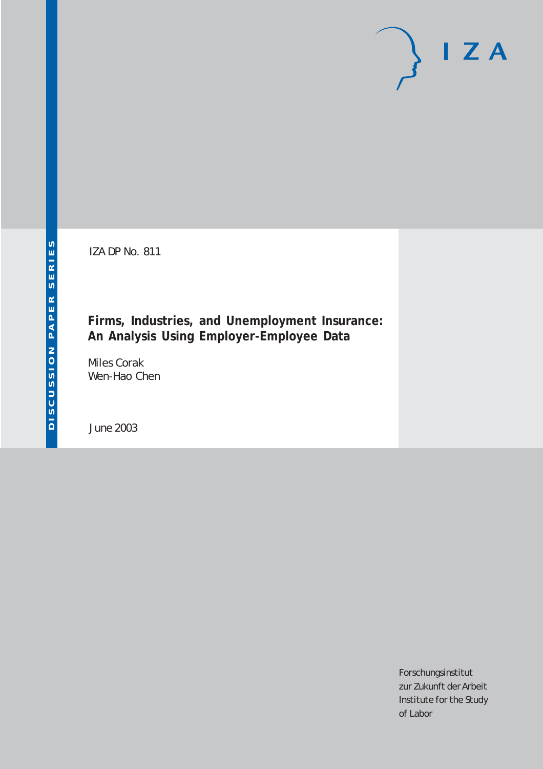IZA DP No. 811

## **Firms, Industries, and Unemployment Insurance: An Analysis Using Employer-Employee Data**

Miles Corak Wen-Hao Chen

June 2003

Forschungsinstitut zur Zukunft der Arbeit Institute for the Study of Labor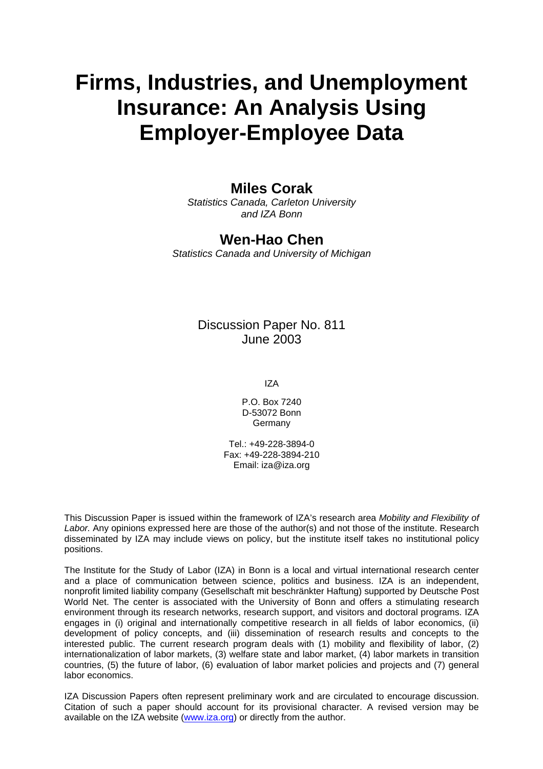# **Firms, Industries, and Unemployment Insurance: An Analysis Using Employer-Employee Data**

## **Miles Corak**

*Statistics Canada, Carleton University and IZA Bonn* 

### **Wen-Hao Chen**

*Statistics Canada and University of Michigan* 

### Discussion Paper No. 811 June 2003

IZA

P.O. Box 7240 D-53072 Bonn **Germany** 

Tel.: +49-228-3894-0 Fax: +49-228-3894-210 Email: [iza@iza.org](mailto:iza@iza.org)

This Discussion Paper is issued within the framework of IZA's research area *Mobility and Flexibility of Labor.* Any opinions expressed here are those of the author(s) and not those of the institute. Research disseminated by IZA may include views on policy, but the institute itself takes no institutional policy positions.

The Institute for the Study of Labor (IZA) in Bonn is a local and virtual international research center and a place of communication between science, politics and business. IZA is an independent, nonprofit limited liability company (Gesellschaft mit beschränkter Haftung) supported by Deutsche Post World Net. The center is associated with the University of Bonn and offers a stimulating research environment through its research networks, research support, and visitors and doctoral programs. IZA engages in (i) original and internationally competitive research in all fields of labor economics, (ii) development of policy concepts, and (iii) dissemination of research results and concepts to the interested public. The current research program deals with (1) mobility and flexibility of labor, (2) internationalization of labor markets, (3) welfare state and labor market, (4) labor markets in transition countries, (5) the future of labor, (6) evaluation of labor market policies and projects and (7) general labor economics.

IZA Discussion Papers often represent preliminary work and are circulated to encourage discussion. Citation of such a paper should account for its provisional character. A revised version may be available on the IZA website ([www.iza.org](http://www.iza.org/)) or directly from the author.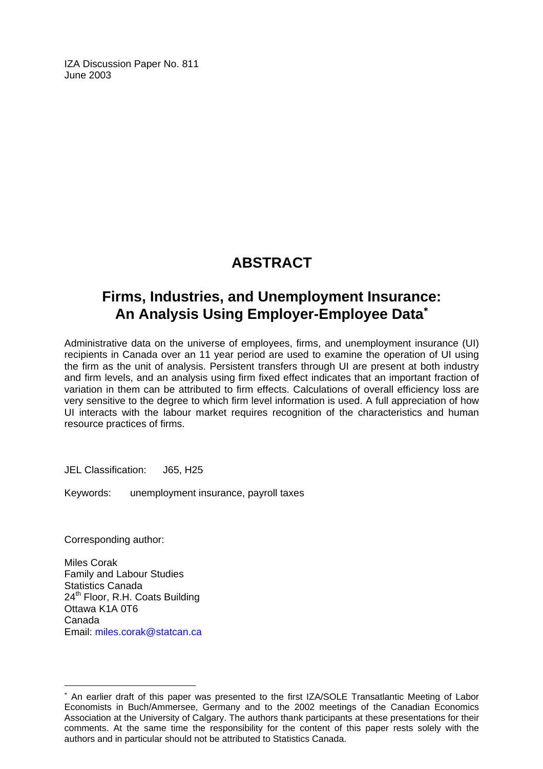IZA Discussion Paper No. 811 June 2003

# **ABSTRACT**

# **Firms, Industries, and Unemployment Insurance: An Analysis Using Employer-Employee Data**[∗](#page-2-0)

Administrative data on the universe of employees, firms, and unemployment insurance (UI) recipients in Canada over an 11 year period are used to examine the operation of UI using the firm as the unit of analysis. Persistent transfers through UI are present at both industry and firm levels, and an analysis using firm fixed effect indicates that an important fraction of variation in them can be attributed to firm effects. Calculations of overall efficiency loss are very sensitive to the degree to which firm level information is used. A full appreciation of how UI interacts with the labour market requires recognition of the characteristics and human resource practices of firms.

JEL Classification: J65, H25

Keywords: unemployment insurance, payroll taxes

Corresponding author:

 $\overline{a}$ 

Miles Corak Family and Labour Studies Statistics Canada 24<sup>th</sup> Floor, R.H. Coats Building Ottawa K1A 0T6 Canada Email: [miles.corak@statcan.ca](mailto:miles.corak@statcan.ca)

<span id="page-2-0"></span><sup>∗</sup> An earlier draft of this paper was presented to the first IZA/SOLE Transatlantic Meeting of Labor Economists in Buch/Ammersee, Germany and to the 2002 meetings of the Canadian Economics Association at the University of Calgary. The authors thank participants at these presentations for their comments. At the same time the responsibility for the content of this paper rests solely with the authors and in particular should not be attributed to Statistics Canada.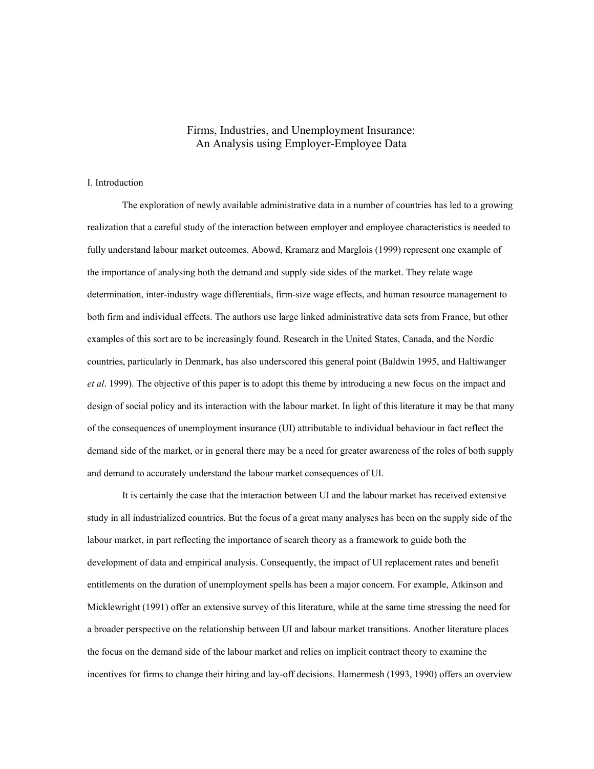### Firms, Industries, and Unemployment Insurance: An Analysis using Employer-Employee Data

#### I. Introduction

The exploration of newly available administrative data in a number of countries has led to a growing realization that a careful study of the interaction between employer and employee characteristics is needed to fully understand labour market outcomes. Abowd, Kramarz and Marglois (1999) represent one example of the importance of analysing both the demand and supply side sides of the market. They relate wage determination, inter-industry wage differentials, firm-size wage effects, and human resource management to both firm and individual effects. The authors use large linked administrative data sets from France, but other examples of this sort are to be increasingly found. Research in the United States, Canada, and the Nordic countries, particularly in Denmark, has also underscored this general point (Baldwin 1995, and Haltiwanger *et al*. 1999). The objective of this paper is to adopt this theme by introducing a new focus on the impact and design of social policy and its interaction with the labour market. In light of this literature it may be that many of the consequences of unemployment insurance (UI) attributable to individual behaviour in fact reflect the demand side of the market, or in general there may be a need for greater awareness of the roles of both supply and demand to accurately understand the labour market consequences of UI.

It is certainly the case that the interaction between UI and the labour market has received extensive study in all industrialized countries. But the focus of a great many analyses has been on the supply side of the labour market, in part reflecting the importance of search theory as a framework to guide both the development of data and empirical analysis. Consequently, the impact of UI replacement rates and benefit entitlements on the duration of unemployment spells has been a major concern. For example, Atkinson and Micklewright (1991) offer an extensive survey of this literature, while at the same time stressing the need for a broader perspective on the relationship between UI and labour market transitions. Another literature places the focus on the demand side of the labour market and relies on implicit contract theory to examine the incentives for firms to change their hiring and lay-off decisions. Hamermesh (1993, 1990) offers an overview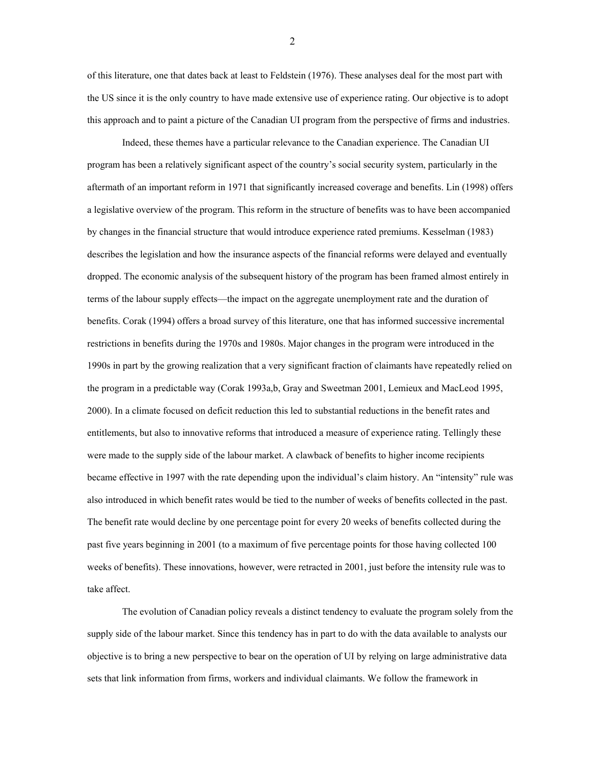of this literature, one that dates back at least to Feldstein (1976). These analyses deal for the most part with the US since it is the only country to have made extensive use of experience rating. Our objective is to adopt this approach and to paint a picture of the Canadian UI program from the perspective of firms and industries.

Indeed, these themes have a particular relevance to the Canadian experience. The Canadian UI program has been a relatively significant aspect of the country's social security system, particularly in the aftermath of an important reform in 1971 that significantly increased coverage and benefits. Lin (1998) offers a legislative overview of the program. This reform in the structure of benefits was to have been accompanied by changes in the financial structure that would introduce experience rated premiums. Kesselman (1983) describes the legislation and how the insurance aspects of the financial reforms were delayed and eventually dropped. The economic analysis of the subsequent history of the program has been framed almost entirely in terms of the labour supply effects—the impact on the aggregate unemployment rate and the duration of benefits. Corak (1994) offers a broad survey of this literature, one that has informed successive incremental restrictions in benefits during the 1970s and 1980s. Major changes in the program were introduced in the 1990s in part by the growing realization that a very significant fraction of claimants have repeatedly relied on the program in a predictable way (Corak 1993a,b, Gray and Sweetman 2001, Lemieux and MacLeod 1995, 2000). In a climate focused on deficit reduction this led to substantial reductions in the benefit rates and entitlements, but also to innovative reforms that introduced a measure of experience rating. Tellingly these were made to the supply side of the labour market. A clawback of benefits to higher income recipients became effective in 1997 with the rate depending upon the individual's claim history. An "intensity" rule was also introduced in which benefit rates would be tied to the number of weeks of benefits collected in the past. The benefit rate would decline by one percentage point for every 20 weeks of benefits collected during the past five years beginning in 2001 (to a maximum of five percentage points for those having collected 100 weeks of benefits). These innovations, however, were retracted in 2001, just before the intensity rule was to take affect.

The evolution of Canadian policy reveals a distinct tendency to evaluate the program solely from the supply side of the labour market. Since this tendency has in part to do with the data available to analysts our objective is to bring a new perspective to bear on the operation of UI by relying on large administrative data sets that link information from firms, workers and individual claimants. We follow the framework in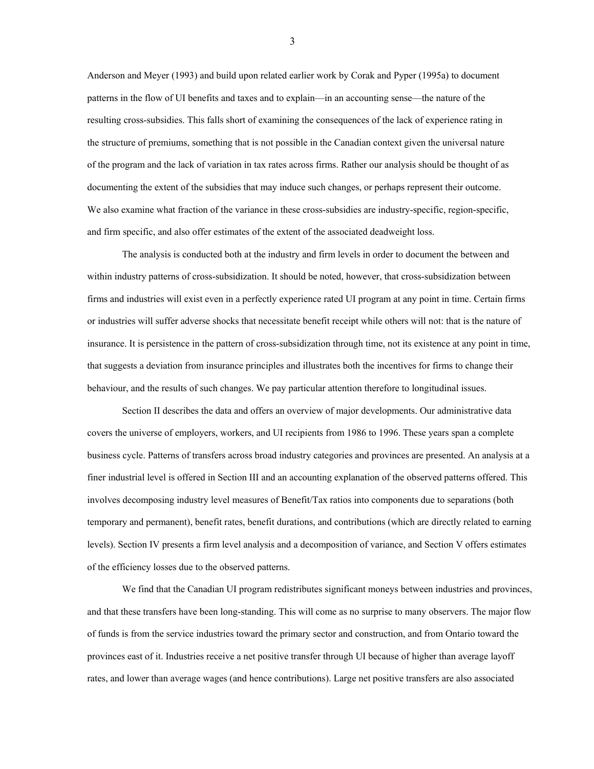Anderson and Meyer (1993) and build upon related earlier work by Corak and Pyper (1995a) to document patterns in the flow of UI benefits and taxes and to explain—in an accounting sense—the nature of the resulting cross-subsidies. This falls short of examining the consequences of the lack of experience rating in the structure of premiums, something that is not possible in the Canadian context given the universal nature of the program and the lack of variation in tax rates across firms. Rather our analysis should be thought of as documenting the extent of the subsidies that may induce such changes, or perhaps represent their outcome. We also examine what fraction of the variance in these cross-subsidies are industry-specific, region-specific, and firm specific, and also offer estimates of the extent of the associated deadweight loss.

The analysis is conducted both at the industry and firm levels in order to document the between and within industry patterns of cross-subsidization. It should be noted, however, that cross-subsidization between firms and industries will exist even in a perfectly experience rated UI program at any point in time. Certain firms or industries will suffer adverse shocks that necessitate benefit receipt while others will not: that is the nature of insurance. It is persistence in the pattern of cross-subsidization through time, not its existence at any point in time, that suggests a deviation from insurance principles and illustrates both the incentives for firms to change their behaviour, and the results of such changes. We pay particular attention therefore to longitudinal issues.

Section II describes the data and offers an overview of major developments. Our administrative data covers the universe of employers, workers, and UI recipients from 1986 to 1996. These years span a complete business cycle. Patterns of transfers across broad industry categories and provinces are presented. An analysis at a finer industrial level is offered in Section III and an accounting explanation of the observed patterns offered. This involves decomposing industry level measures of Benefit/Tax ratios into components due to separations (both temporary and permanent), benefit rates, benefit durations, and contributions (which are directly related to earning levels). Section IV presents a firm level analysis and a decomposition of variance, and Section V offers estimates of the efficiency losses due to the observed patterns.

 We find that the Canadian UI program redistributes significant moneys between industries and provinces, and that these transfers have been long-standing. This will come as no surprise to many observers. The major flow of funds is from the service industries toward the primary sector and construction, and from Ontario toward the provinces east of it. Industries receive a net positive transfer through UI because of higher than average layoff rates, and lower than average wages (and hence contributions). Large net positive transfers are also associated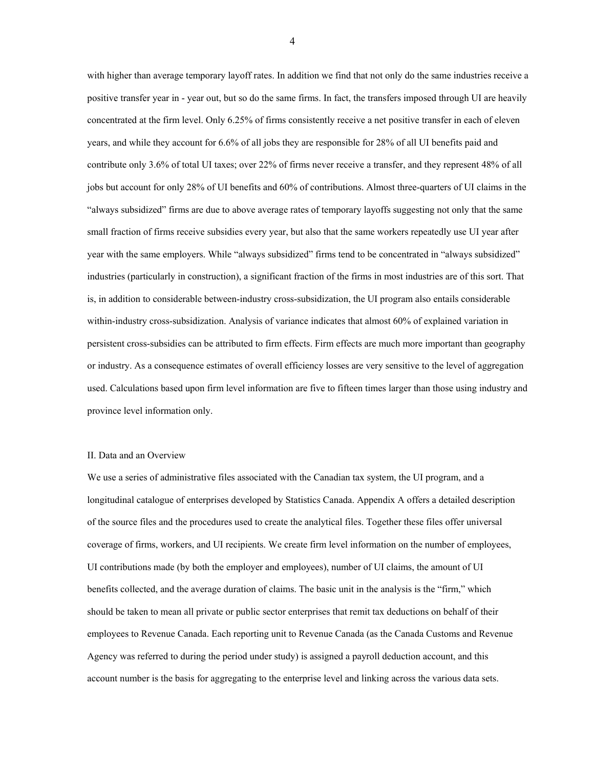with higher than average temporary layoff rates. In addition we find that not only do the same industries receive a positive transfer year in - year out, but so do the same firms. In fact, the transfers imposed through UI are heavily concentrated at the firm level. Only 6.25% of firms consistently receive a net positive transfer in each of eleven years, and while they account for 6.6% of all jobs they are responsible for 28% of all UI benefits paid and contribute only 3.6% of total UI taxes; over 22% of firms never receive a transfer, and they represent 48% of all jobs but account for only 28% of UI benefits and 60% of contributions. Almost three-quarters of UI claims in the "always subsidized" firms are due to above average rates of temporary layoffs suggesting not only that the same small fraction of firms receive subsidies every year, but also that the same workers repeatedly use UI year after year with the same employers. While "always subsidized" firms tend to be concentrated in "always subsidized" industries (particularly in construction), a significant fraction of the firms in most industries are of this sort. That is, in addition to considerable between-industry cross-subsidization, the UI program also entails considerable within-industry cross-subsidization. Analysis of variance indicates that almost 60% of explained variation in persistent cross-subsidies can be attributed to firm effects. Firm effects are much more important than geography or industry. As a consequence estimates of overall efficiency losses are very sensitive to the level of aggregation used. Calculations based upon firm level information are five to fifteen times larger than those using industry and province level information only.

#### II. Data and an Overview

We use a series of administrative files associated with the Canadian tax system, the UI program, and a longitudinal catalogue of enterprises developed by Statistics Canada. Appendix A offers a detailed description of the source files and the procedures used to create the analytical files. Together these files offer universal coverage of firms, workers, and UI recipients. We create firm level information on the number of employees, UI contributions made (by both the employer and employees), number of UI claims, the amount of UI benefits collected, and the average duration of claims. The basic unit in the analysis is the "firm," which should be taken to mean all private or public sector enterprises that remit tax deductions on behalf of their employees to Revenue Canada. Each reporting unit to Revenue Canada (as the Canada Customs and Revenue Agency was referred to during the period under study) is assigned a payroll deduction account, and this account number is the basis for aggregating to the enterprise level and linking across the various data sets.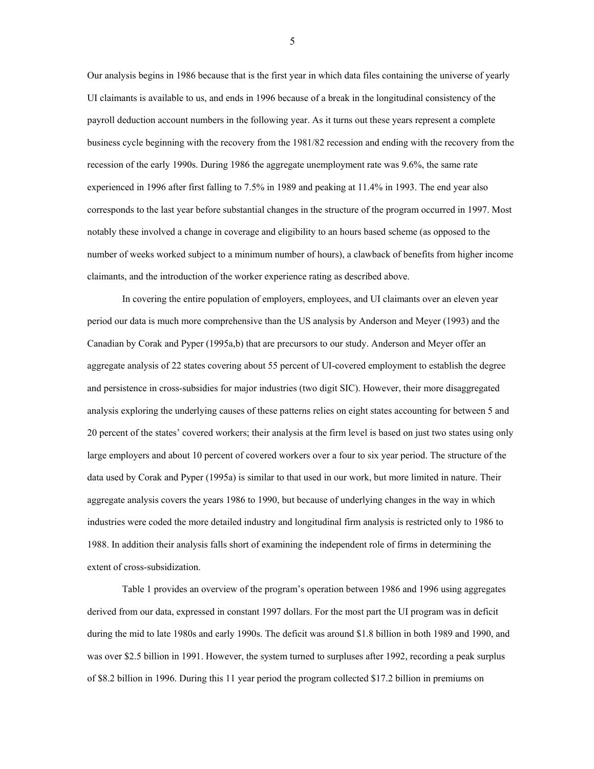Our analysis begins in 1986 because that is the first year in which data files containing the universe of yearly UI claimants is available to us, and ends in 1996 because of a break in the longitudinal consistency of the payroll deduction account numbers in the following year. As it turns out these years represent a complete business cycle beginning with the recovery from the 1981/82 recession and ending with the recovery from the recession of the early 1990s. During 1986 the aggregate unemployment rate was 9.6%, the same rate experienced in 1996 after first falling to 7.5% in 1989 and peaking at 11.4% in 1993. The end year also corresponds to the last year before substantial changes in the structure of the program occurred in 1997. Most notably these involved a change in coverage and eligibility to an hours based scheme (as opposed to the number of weeks worked subject to a minimum number of hours), a clawback of benefits from higher income claimants, and the introduction of the worker experience rating as described above.

 In covering the entire population of employers, employees, and UI claimants over an eleven year period our data is much more comprehensive than the US analysis by Anderson and Meyer (1993) and the Canadian by Corak and Pyper (1995a,b) that are precursors to our study. Anderson and Meyer offer an aggregate analysis of 22 states covering about 55 percent of UI-covered employment to establish the degree and persistence in cross-subsidies for major industries (two digit SIC). However, their more disaggregated analysis exploring the underlying causes of these patterns relies on eight states accounting for between 5 and 20 percent of the states' covered workers; their analysis at the firm level is based on just two states using only large employers and about 10 percent of covered workers over a four to six year period. The structure of the data used by Corak and Pyper (1995a) is similar to that used in our work, but more limited in nature. Their aggregate analysis covers the years 1986 to 1990, but because of underlying changes in the way in which industries were coded the more detailed industry and longitudinal firm analysis is restricted only to 1986 to 1988. In addition their analysis falls short of examining the independent role of firms in determining the extent of cross-subsidization.

Table 1 provides an overview of the program's operation between 1986 and 1996 using aggregates derived from our data, expressed in constant 1997 dollars. For the most part the UI program was in deficit during the mid to late 1980s and early 1990s. The deficit was around \$1.8 billion in both 1989 and 1990, and was over \$2.5 billion in 1991. However, the system turned to surpluses after 1992, recording a peak surplus of \$8.2 billion in 1996. During this 11 year period the program collected \$17.2 billion in premiums on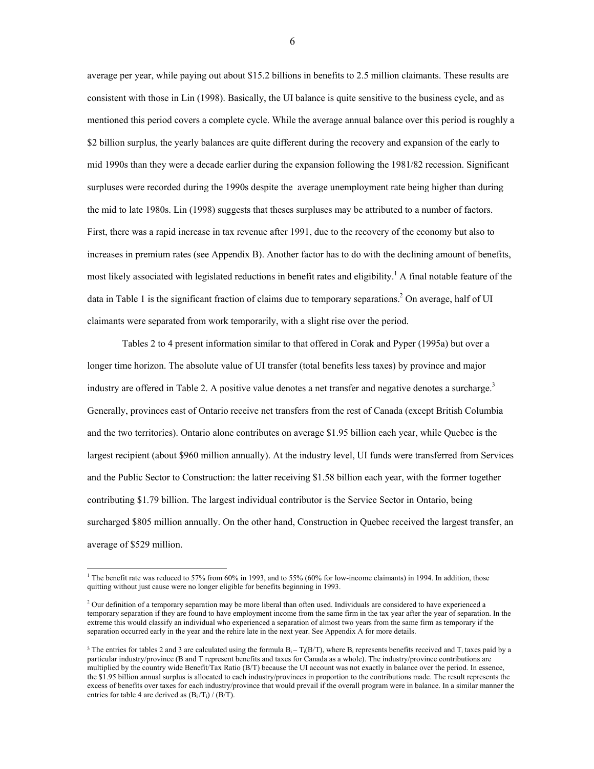average per year, while paying out about \$15.2 billions in benefits to 2.5 million claimants. These results are consistent with those in Lin (1998). Basically, the UI balance is quite sensitive to the business cycle, and as mentioned this period covers a complete cycle. While the average annual balance over this period is roughly a \$2 billion surplus, the yearly balances are quite different during the recovery and expansion of the early to mid 1990s than they were a decade earlier during the expansion following the 1981/82 recession. Significant surpluses were recorded during the 1990s despite the average unemployment rate being higher than during the mid to late 1980s. Lin (1998) suggests that theses surpluses may be attributed to a number of factors. First, there was a rapid increase in tax revenue after 1991, due to the recovery of the economy but also to increases in premium rates (see Appendix B). Another factor has to do with the declining amount of benefits, most likely associated with legislated reductions in benefit rates and eligibility.<sup>1</sup> A final notable feature of the data in Table 1 is the significant fraction of claims due to temporary separations.<sup>2</sup> On average, half of UI claimants were separated from work temporarily, with a slight rise over the period.

Tables 2 to 4 present information similar to that offered in Corak and Pyper (1995a) but over a longer time horizon. The absolute value of UI transfer (total benefits less taxes) by province and major industry are offered in Table 2. A positive value denotes a net transfer and negative denotes a surcharge.<sup>3</sup> Generally, provinces east of Ontario receive net transfers from the rest of Canada (except British Columbia and the two territories). Ontario alone contributes on average \$1.95 billion each year, while Quebec is the largest recipient (about \$960 million annually). At the industry level, UI funds were transferred from Services and the Public Sector to Construction: the latter receiving \$1.58 billion each year, with the former together contributing \$1.79 billion. The largest individual contributor is the Service Sector in Ontario, being surcharged \$805 million annually. On the other hand, Construction in Quebec received the largest transfer, an average of \$529 million.

<sup>&</sup>lt;sup>1</sup> The benefit rate was reduced to 57% from 60% in 1993, and to 55% (60% for low-income claimants) in 1994. In addition, those quitting without just cause were no longer eligible for benefits beginning in 1993.

<sup>&</sup>lt;sup>2</sup> Our definition of a temporary separation may be more liberal than often used. Individuals are considered to have experienced a temporary separation if they are found to have employment income from the same firm in the tax year after the year of separation. In the extreme this would classify an individual who experienced a separation of almost two years from the same firm as temporary if the separation occurred early in the year and the rehire late in the next year. See Appendix A for more details.

<sup>&</sup>lt;sup>3</sup> The entries for tables 2 and 3 are calculated using the formula  $B_i - T_i(B/T)$ , where  $B_i$  represents benefits received and  $T_i$  taxes paid by a particular industry/province (B and T represent benefits and taxes for Canada as a whole). The industry/province contributions are multiplied by the country wide Benefit/Tax Ratio (B/T) because the UI account was not exactly in balance over the period. In essence, the \$1.95 billion annual surplus is allocated to each industry/provinces in proportion to the contributions made. The result represents the excess of benefits over taxes for each industry/province that would prevail if the overall program were in balance. In a similar manner the entries for table 4 are derived as  $(B_i/T_i) / (B/T)$ .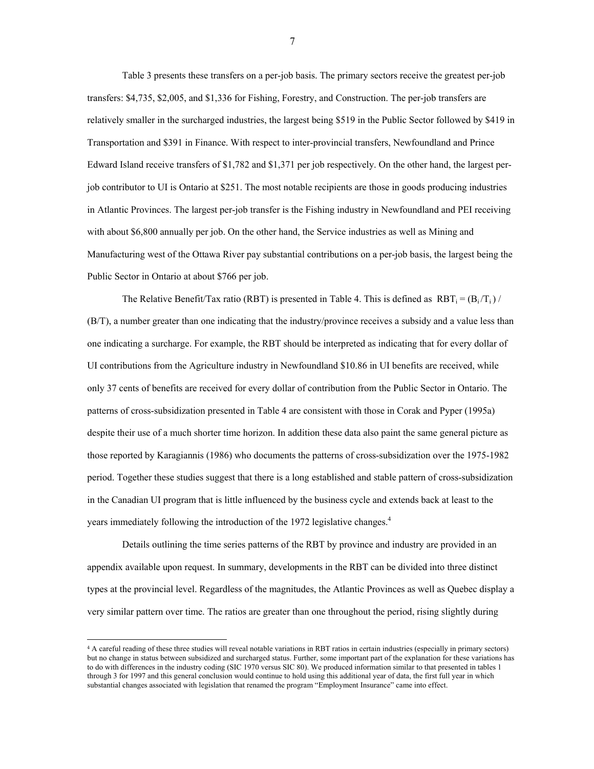Table 3 presents these transfers on a per-job basis. The primary sectors receive the greatest per-job transfers: \$4,735, \$2,005, and \$1,336 for Fishing, Forestry, and Construction. The per-job transfers are relatively smaller in the surcharged industries, the largest being \$519 in the Public Sector followed by \$419 in Transportation and \$391 in Finance. With respect to inter-provincial transfers, Newfoundland and Prince Edward Island receive transfers of \$1,782 and \$1,371 per job respectively. On the other hand, the largest perjob contributor to UI is Ontario at \$251. The most notable recipients are those in goods producing industries in Atlantic Provinces. The largest per-job transfer is the Fishing industry in Newfoundland and PEI receiving with about \$6,800 annually per job. On the other hand, the Service industries as well as Mining and Manufacturing west of the Ottawa River pay substantial contributions on a per-job basis, the largest being the Public Sector in Ontario at about \$766 per job.

The Relative Benefit/Tax ratio (RBT) is presented in Table 4. This is defined as  $RBT_i = (B_i/T_i) / T_i$ (B/T), a number greater than one indicating that the industry/province receives a subsidy and a value less than one indicating a surcharge. For example, the RBT should be interpreted as indicating that for every dollar of UI contributions from the Agriculture industry in Newfoundland \$10.86 in UI benefits are received, while only 37 cents of benefits are received for every dollar of contribution from the Public Sector in Ontario. The patterns of cross-subsidization presented in Table 4 are consistent with those in Corak and Pyper (1995a) despite their use of a much shorter time horizon. In addition these data also paint the same general picture as those reported by Karagiannis (1986) who documents the patterns of cross-subsidization over the 1975-1982 period. Together these studies suggest that there is a long established and stable pattern of cross-subsidization in the Canadian UI program that is little influenced by the business cycle and extends back at least to the years immediately following the introduction of the 1972 legislative changes.<sup>4</sup>

Details outlining the time series patterns of the RBT by province and industry are provided in an appendix available upon request. In summary, developments in the RBT can be divided into three distinct types at the provincial level. Regardless of the magnitudes, the Atlantic Provinces as well as Quebec display a very similar pattern over time. The ratios are greater than one throughout the period, rising slightly during

1

<sup>4</sup> A careful reading of these three studies will reveal notable variations in RBT ratios in certain industries (especially in primary sectors) but no change in status between subsidized and surcharged status. Further, some important part of the explanation for these variations has to do with differences in the industry coding (SIC 1970 versus SIC 80). We produced information similar to that presented in tables 1 through 3 for 1997 and this general conclusion would continue to hold using this additional year of data, the first full year in which substantial changes associated with legislation that renamed the program "Employment Insurance" came into effect.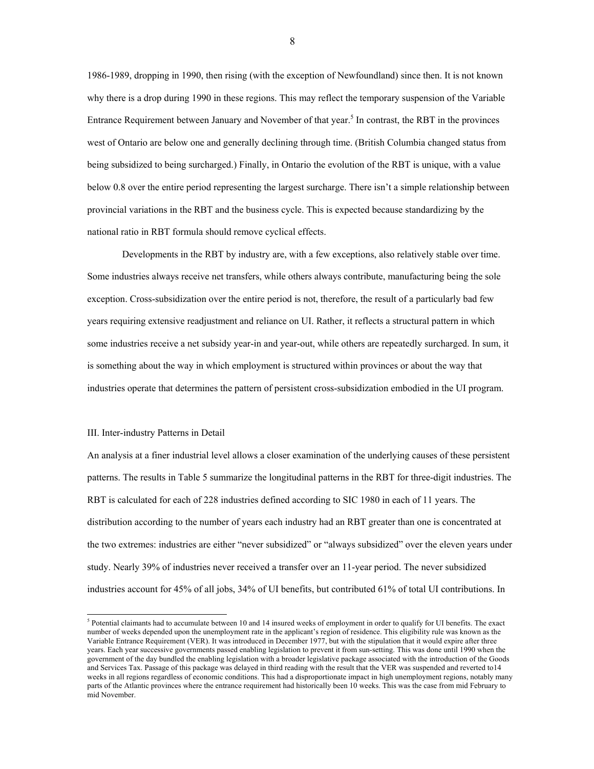1986-1989, dropping in 1990, then rising (with the exception of Newfoundland) since then. It is not known why there is a drop during 1990 in these regions. This may reflect the temporary suspension of the Variable Entrance Requirement between January and November of that year.<sup>5</sup> In contrast, the RBT in the provinces west of Ontario are below one and generally declining through time. (British Columbia changed status from being subsidized to being surcharged.) Finally, in Ontario the evolution of the RBT is unique, with a value below 0.8 over the entire period representing the largest surcharge. There isn't a simple relationship between provincial variations in the RBT and the business cycle. This is expected because standardizing by the national ratio in RBT formula should remove cyclical effects.

Developments in the RBT by industry are, with a few exceptions, also relatively stable over time. Some industries always receive net transfers, while others always contribute, manufacturing being the sole exception. Cross-subsidization over the entire period is not, therefore, the result of a particularly bad few years requiring extensive readjustment and reliance on UI. Rather, it reflects a structural pattern in which some industries receive a net subsidy year-in and year-out, while others are repeatedly surcharged. In sum, it is something about the way in which employment is structured within provinces or about the way that industries operate that determines the pattern of persistent cross-subsidization embodied in the UI program.

#### III. Inter-industry Patterns in Detail

-

An analysis at a finer industrial level allows a closer examination of the underlying causes of these persistent patterns. The results in Table 5 summarize the longitudinal patterns in the RBT for three-digit industries. The RBT is calculated for each of 228 industries defined according to SIC 1980 in each of 11 years. The distribution according to the number of years each industry had an RBT greater than one is concentrated at the two extremes: industries are either "never subsidized" or "always subsidized" over the eleven years under study. Nearly 39% of industries never received a transfer over an 11-year period. The never subsidized industries account for 45% of all jobs, 34% of UI benefits, but contributed 61% of total UI contributions. In

 $5$  Potential claimants had to accumulate between 10 and 14 insured weeks of employment in order to qualify for UI benefits. The exact number of weeks depended upon the unemployment rate in the applicant's region of residence. This eligibility rule was known as the Variable Entrance Requirement (VER). It was introduced in December 1977, but with the stipulation that it would expire after three years. Each year successive governments passed enabling legislation to prevent it from sun-setting. This was done until 1990 when the government of the day bundled the enabling legislation with a broader legislative package associated with the introduction of the Goods and Services Tax. Passage of this package was delayed in third reading with the result that the VER was suspended and reverted to14 weeks in all regions regardless of economic conditions. This had a disproportionate impact in high unemployment regions, notably many parts of the Atlantic provinces where the entrance requirement had historically been 10 weeks. This was the case from mid February to mid November.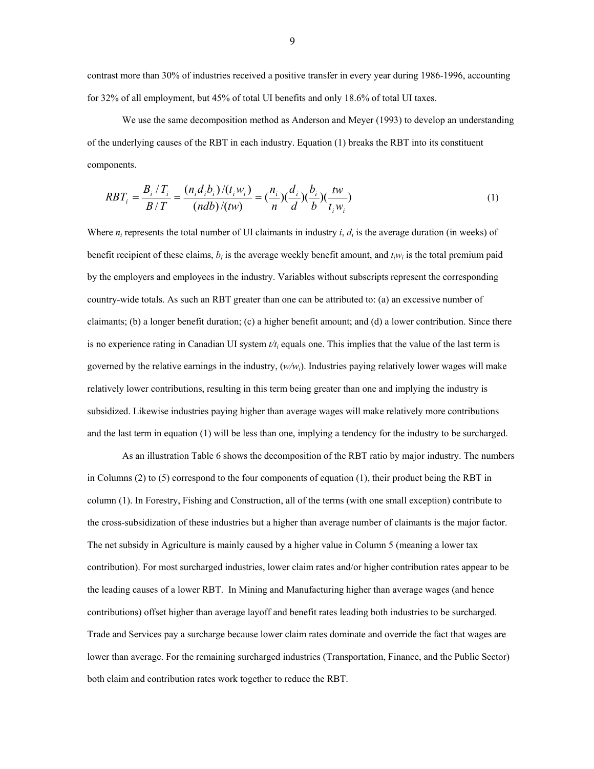contrast more than 30% of industries received a positive transfer in every year during 1986-1996, accounting for 32% of all employment, but 45% of total UI benefits and only 18.6% of total UI taxes.

We use the same decomposition method as Anderson and Meyer (1993) to develop an understanding of the underlying causes of the RBT in each industry. Equation (1) breaks the RBT into its constituent components.

$$
RBT_i = \frac{B_i / T_i}{B / T} = \frac{(n_i d_i b_i) / (t_i w_i)}{(ndb) / (tw)} = \frac{(n_i)}{n} (\frac{d_i}{d}) (\frac{b_i}{b}) (\frac{tw}{t_i w_i})
$$
(1)

Where  $n_i$  represents the total number of UI claimants in industry *i*,  $d_i$  is the average duration (in weeks) of benefit recipient of these claims,  $b_i$  is the average weekly benefit amount, and  $t_iw_i$  is the total premium paid by the employers and employees in the industry. Variables without subscripts represent the corresponding country-wide totals. As such an RBT greater than one can be attributed to: (a) an excessive number of claimants; (b) a longer benefit duration; (c) a higher benefit amount; and (d) a lower contribution. Since there is no experience rating in Canadian UI system  $t/t_i$  equals one. This implies that the value of the last term is governed by the relative earnings in the industry, (*w/wi*). Industries paying relatively lower wages will make relatively lower contributions, resulting in this term being greater than one and implying the industry is subsidized. Likewise industries paying higher than average wages will make relatively more contributions and the last term in equation (1) will be less than one, implying a tendency for the industry to be surcharged.

As an illustration Table 6 shows the decomposition of the RBT ratio by major industry. The numbers in Columns (2) to (5) correspond to the four components of equation (1), their product being the RBT in column (1). In Forestry, Fishing and Construction, all of the terms (with one small exception) contribute to the cross-subsidization of these industries but a higher than average number of claimants is the major factor. The net subsidy in Agriculture is mainly caused by a higher value in Column 5 (meaning a lower tax contribution). For most surcharged industries, lower claim rates and/or higher contribution rates appear to be the leading causes of a lower RBT. In Mining and Manufacturing higher than average wages (and hence contributions) offset higher than average layoff and benefit rates leading both industries to be surcharged. Trade and Services pay a surcharge because lower claim rates dominate and override the fact that wages are lower than average. For the remaining surcharged industries (Transportation, Finance, and the Public Sector) both claim and contribution rates work together to reduce the RBT.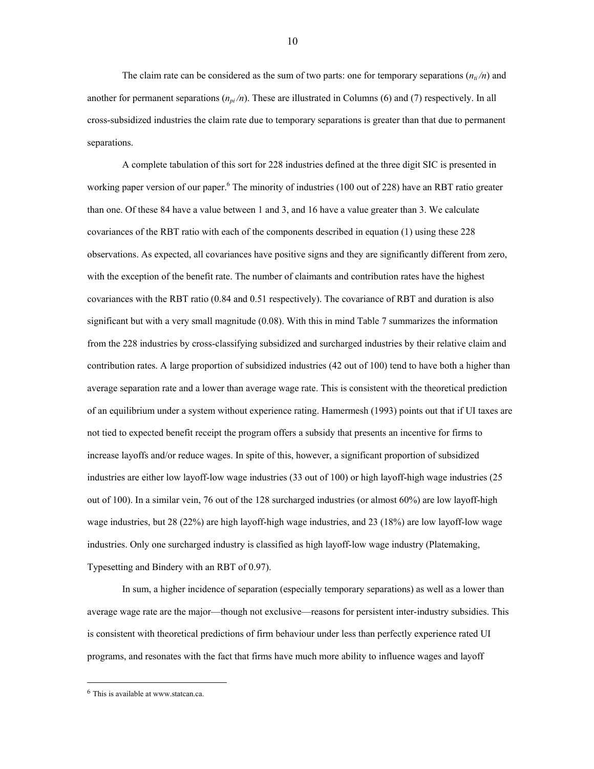The claim rate can be considered as the sum of two parts: one for temporary separations  $(n_{ti}/n)$  and another for permanent separations  $(n_{pi}/n)$ . These are illustrated in Columns (6) and (7) respectively. In all cross-subsidized industries the claim rate due to temporary separations is greater than that due to permanent separations.

A complete tabulation of this sort for 228 industries defined at the three digit SIC is presented in working paper version of our paper.<sup>6</sup> The minority of industries (100 out of 228) have an RBT ratio greater than one. Of these 84 have a value between 1 and 3, and 16 have a value greater than 3. We calculate covariances of the RBT ratio with each of the components described in equation (1) using these 228 observations. As expected, all covariances have positive signs and they are significantly different from zero, with the exception of the benefit rate. The number of claimants and contribution rates have the highest covariances with the RBT ratio (0.84 and 0.51 respectively). The covariance of RBT and duration is also significant but with a very small magnitude (0.08). With this in mind Table 7 summarizes the information from the 228 industries by cross-classifying subsidized and surcharged industries by their relative claim and contribution rates. A large proportion of subsidized industries (42 out of 100) tend to have both a higher than average separation rate and a lower than average wage rate. This is consistent with the theoretical prediction of an equilibrium under a system without experience rating. Hamermesh (1993) points out that if UI taxes are not tied to expected benefit receipt the program offers a subsidy that presents an incentive for firms to increase layoffs and/or reduce wages. In spite of this, however, a significant proportion of subsidized industries are either low layoff-low wage industries (33 out of 100) or high layoff-high wage industries (25 out of 100). In a similar vein, 76 out of the 128 surcharged industries (or almost 60%) are low layoff-high wage industries, but 28 (22%) are high layoff-high wage industries, and 23 (18%) are low layoff-low wage industries. Only one surcharged industry is classified as high layoff-low wage industry (Platemaking, Typesetting and Bindery with an RBT of 0.97).

In sum, a higher incidence of separation (especially temporary separations) as well as a lower than average wage rate are the major—though not exclusive—reasons for persistent inter-industry subsidies. This is consistent with theoretical predictions of firm behaviour under less than perfectly experience rated UI programs, and resonates with the fact that firms have much more ability to influence wages and layoff

 $\overline{a}$ 

<sup>6</sup> This is available at www.statcan.ca.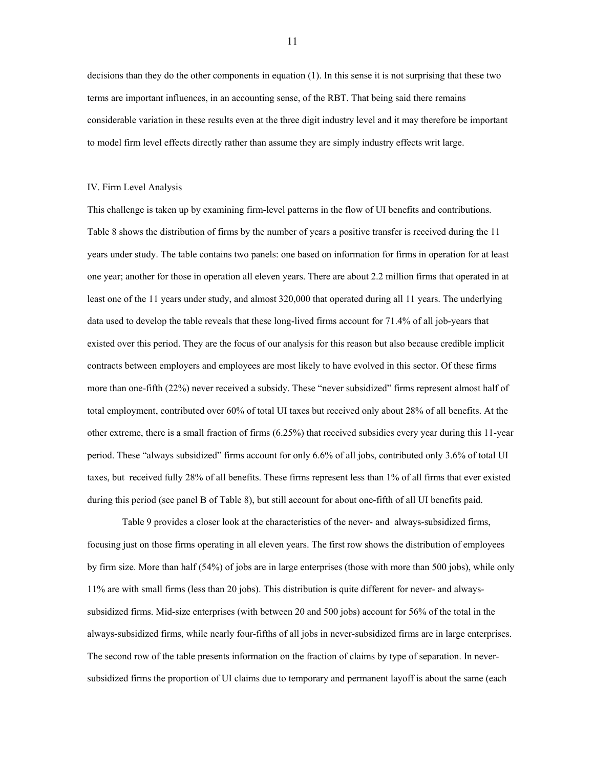decisions than they do the other components in equation (1). In this sense it is not surprising that these two terms are important influences, in an accounting sense, of the RBT. That being said there remains considerable variation in these results even at the three digit industry level and it may therefore be important to model firm level effects directly rather than assume they are simply industry effects writ large.

#### IV. Firm Level Analysis

This challenge is taken up by examining firm-level patterns in the flow of UI benefits and contributions. Table 8 shows the distribution of firms by the number of years a positive transfer is received during the 11 years under study. The table contains two panels: one based on information for firms in operation for at least one year; another for those in operation all eleven years. There are about 2.2 million firms that operated in at least one of the 11 years under study, and almost 320,000 that operated during all 11 years. The underlying data used to develop the table reveals that these long-lived firms account for 71.4% of all job-years that existed over this period. They are the focus of our analysis for this reason but also because credible implicit contracts between employers and employees are most likely to have evolved in this sector. Of these firms more than one-fifth (22%) never received a subsidy. These "never subsidized" firms represent almost half of total employment, contributed over 60% of total UI taxes but received only about 28% of all benefits. At the other extreme, there is a small fraction of firms (6.25%) that received subsidies every year during this 11-year period. These "always subsidized" firms account for only 6.6% of all jobs, contributed only 3.6% of total UI taxes, but received fully 28% of all benefits. These firms represent less than 1% of all firms that ever existed during this period (see panel B of Table 8), but still account for about one-fifth of all UI benefits paid.

Table 9 provides a closer look at the characteristics of the never- and always-subsidized firms, focusing just on those firms operating in all eleven years. The first row shows the distribution of employees by firm size. More than half (54%) of jobs are in large enterprises (those with more than 500 jobs), while only 11% are with small firms (less than 20 jobs). This distribution is quite different for never- and alwayssubsidized firms. Mid-size enterprises (with between 20 and 500 jobs) account for 56% of the total in the always-subsidized firms, while nearly four-fifths of all jobs in never-subsidized firms are in large enterprises. The second row of the table presents information on the fraction of claims by type of separation. In neversubsidized firms the proportion of UI claims due to temporary and permanent layoff is about the same (each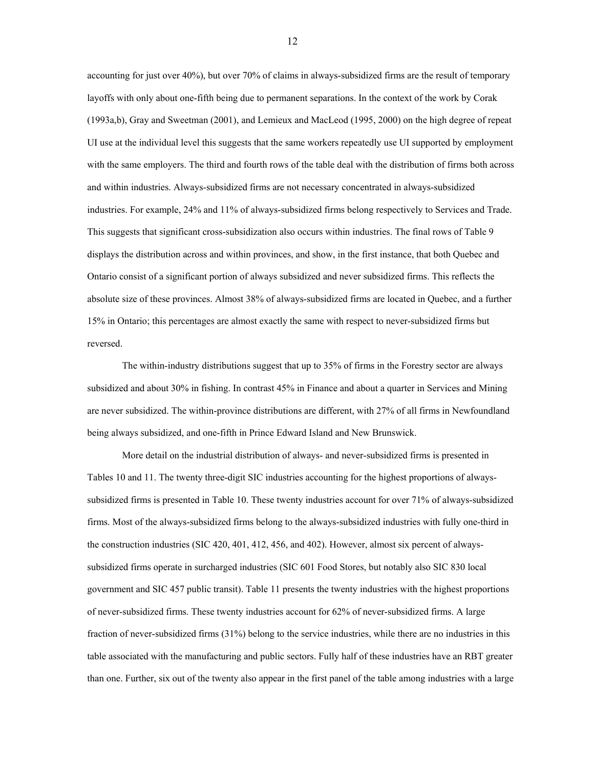accounting for just over 40%), but over 70% of claims in always-subsidized firms are the result of temporary layoffs with only about one-fifth being due to permanent separations. In the context of the work by Corak (1993a,b), Gray and Sweetman (2001), and Lemieux and MacLeod (1995, 2000) on the high degree of repeat UI use at the individual level this suggests that the same workers repeatedly use UI supported by employment with the same employers. The third and fourth rows of the table deal with the distribution of firms both across and within industries. Always-subsidized firms are not necessary concentrated in always-subsidized industries. For example, 24% and 11% of always-subsidized firms belong respectively to Services and Trade. This suggests that significant cross-subsidization also occurs within industries. The final rows of Table 9 displays the distribution across and within provinces, and show, in the first instance, that both Quebec and Ontario consist of a significant portion of always subsidized and never subsidized firms. This reflects the absolute size of these provinces. Almost 38% of always-subsidized firms are located in Quebec, and a further 15% in Ontario; this percentages are almost exactly the same with respect to never-subsidized firms but reversed.

The within-industry distributions suggest that up to 35% of firms in the Forestry sector are always subsidized and about 30% in fishing. In contrast 45% in Finance and about a quarter in Services and Mining are never subsidized. The within-province distributions are different, with 27% of all firms in Newfoundland being always subsidized, and one-fifth in Prince Edward Island and New Brunswick.

More detail on the industrial distribution of always- and never-subsidized firms is presented in Tables 10 and 11. The twenty three-digit SIC industries accounting for the highest proportions of alwayssubsidized firms is presented in Table 10. These twenty industries account for over 71% of always-subsidized firms. Most of the always-subsidized firms belong to the always-subsidized industries with fully one-third in the construction industries (SIC 420, 401, 412, 456, and 402). However, almost six percent of alwayssubsidized firms operate in surcharged industries (SIC 601 Food Stores, but notably also SIC 830 local government and SIC 457 public transit). Table 11 presents the twenty industries with the highest proportions of never-subsidized firms. These twenty industries account for 62% of never-subsidized firms. A large fraction of never-subsidized firms (31%) belong to the service industries, while there are no industries in this table associated with the manufacturing and public sectors. Fully half of these industries have an RBT greater than one. Further, six out of the twenty also appear in the first panel of the table among industries with a large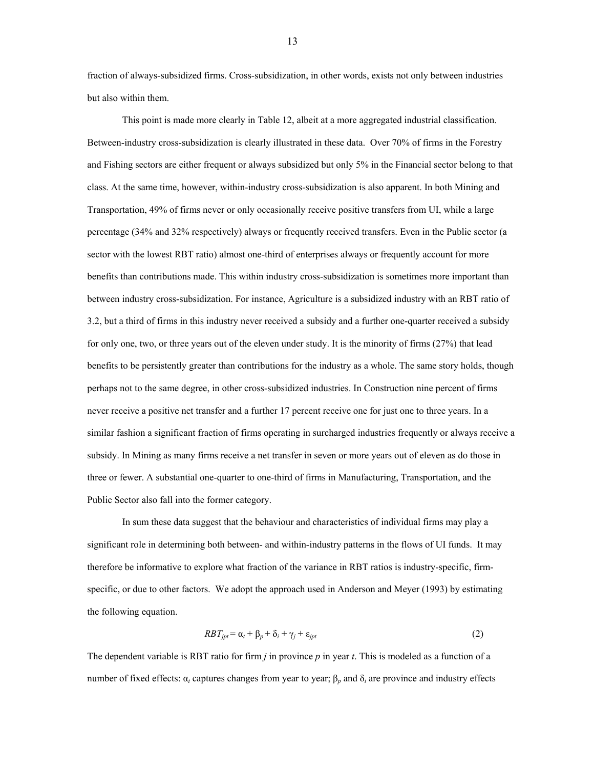fraction of always-subsidized firms. Cross-subsidization, in other words, exists not only between industries but also within them.

 This point is made more clearly in Table 12, albeit at a more aggregated industrial classification. Between-industry cross-subsidization is clearly illustrated in these data. Over 70% of firms in the Forestry and Fishing sectors are either frequent or always subsidized but only 5% in the Financial sector belong to that class. At the same time, however, within-industry cross-subsidization is also apparent. In both Mining and Transportation, 49% of firms never or only occasionally receive positive transfers from UI, while a large percentage (34% and 32% respectively) always or frequently received transfers. Even in the Public sector (a sector with the lowest RBT ratio) almost one-third of enterprises always or frequently account for more benefits than contributions made. This within industry cross-subsidization is sometimes more important than between industry cross-subsidization. For instance, Agriculture is a subsidized industry with an RBT ratio of 3.2, but a third of firms in this industry never received a subsidy and a further one-quarter received a subsidy for only one, two, or three years out of the eleven under study. It is the minority of firms (27%) that lead benefits to be persistently greater than contributions for the industry as a whole. The same story holds, though perhaps not to the same degree, in other cross-subsidized industries. In Construction nine percent of firms never receive a positive net transfer and a further 17 percent receive one for just one to three years. In a similar fashion a significant fraction of firms operating in surcharged industries frequently or always receive a subsidy. In Mining as many firms receive a net transfer in seven or more years out of eleven as do those in three or fewer. A substantial one-quarter to one-third of firms in Manufacturing, Transportation, and the Public Sector also fall into the former category.

 In sum these data suggest that the behaviour and characteristics of individual firms may play a significant role in determining both between- and within-industry patterns in the flows of UI funds. It may therefore be informative to explore what fraction of the variance in RBT ratios is industry-specific, firmspecific, or due to other factors. We adopt the approach used in Anderson and Meyer (1993) by estimating the following equation.

$$
RBT_{jpt} = \alpha_t + \beta_p + \delta_i + \gamma_j + \varepsilon_{jpt} \tag{2}
$$

The dependent variable is RBT ratio for firm *j* in province *p* in year *t*. This is modeled as a function of a number of fixed effects:  $α<sub>t</sub>$  captures changes from year to year;  $β<sub>p</sub>$  and  $δ<sub>i</sub>$  are province and industry effects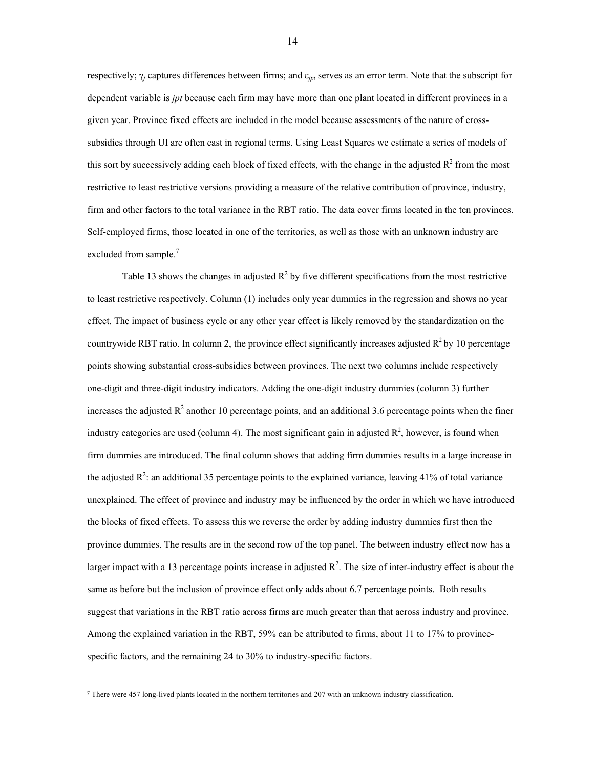respectively; γ*j* captures differences between firms; and ε*jpt* serves as an error term. Note that the subscript for dependent variable is *jpt* because each firm may have more than one plant located in different provinces in a given year. Province fixed effects are included in the model because assessments of the nature of crosssubsidies through UI are often cast in regional terms. Using Least Squares we estimate a series of models of this sort by successively adding each block of fixed effects, with the change in the adjusted  $R^2$  from the most restrictive to least restrictive versions providing a measure of the relative contribution of province, industry, firm and other factors to the total variance in the RBT ratio. The data cover firms located in the ten provinces. Self-employed firms, those located in one of the territories, as well as those with an unknown industry are excluded from sample.<sup>7</sup>

Table 13 shows the changes in adjusted  $R^2$  by five different specifications from the most restrictive to least restrictive respectively. Column (1) includes only year dummies in the regression and shows no year effect. The impact of business cycle or any other year effect is likely removed by the standardization on the countrywide RBT ratio. In column 2, the province effect significantly increases adjusted  $R<sup>2</sup>$  by 10 percentage points showing substantial cross-subsidies between provinces. The next two columns include respectively one-digit and three-digit industry indicators. Adding the one-digit industry dummies (column 3) further increases the adjusted  $\mathbb{R}^2$  another 10 percentage points, and an additional 3.6 percentage points when the finer industry categories are used (column 4). The most significant gain in adjusted  $\mathbb{R}^2$ , however, is found when firm dummies are introduced. The final column shows that adding firm dummies results in a large increase in the adjusted  $\mathbb{R}^2$ : an additional 35 percentage points to the explained variance, leaving 41% of total variance unexplained. The effect of province and industry may be influenced by the order in which we have introduced the blocks of fixed effects. To assess this we reverse the order by adding industry dummies first then the province dummies. The results are in the second row of the top panel. The between industry effect now has a larger impact with a 13 percentage points increase in adjusted  $\mathbb{R}^2$ . The size of inter-industry effect is about the same as before but the inclusion of province effect only adds about 6.7 percentage points. Both results suggest that variations in the RBT ratio across firms are much greater than that across industry and province. Among the explained variation in the RBT, 59% can be attributed to firms, about 11 to 17% to provincespecific factors, and the remaining 24 to 30% to industry-specific factors.

 $\overline{\phantom{a}}$ 

<sup>7</sup> There were 457 long-lived plants located in the northern territories and 207 with an unknown industry classification.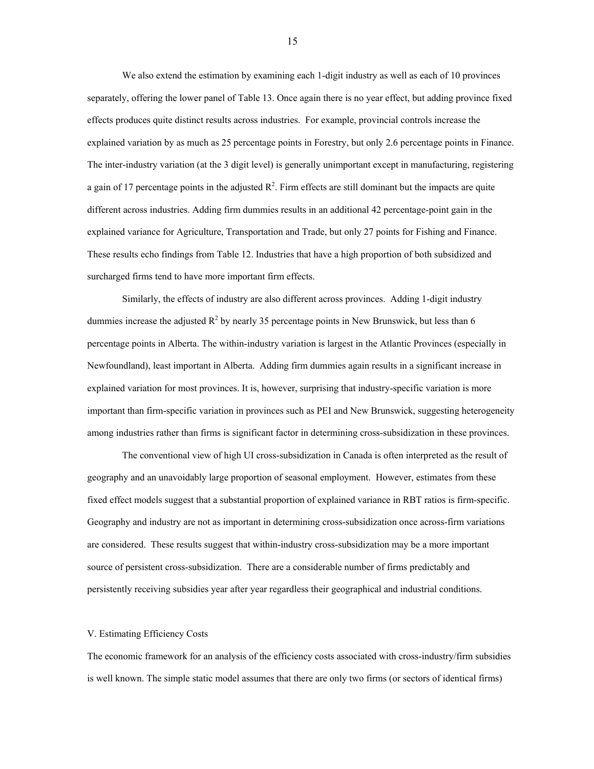We also extend the estimation by examining each 1-digit industry as well as each of 10 provinces separately, offering the lower panel of Table 13. Once again there is no year effect, but adding province fixed effects produces quite distinct results across industries. For example, provincial controls increase the explained variation by as much as 25 percentage points in Forestry, but only 2.6 percentage points in Finance. The inter-industry variation (at the 3 digit level) is generally unimportant except in manufacturing, registering a gain of 17 percentage points in the adjusted  $\mathbb{R}^2$ . Firm effects are still dominant but the impacts are quite different across industries. Adding firm dummies results in an additional 42 percentage-point gain in the explained variance for Agriculture, Transportation and Trade, but only 27 points for Fishing and Finance. These results echo findings from Table 12. Industries that have a high proportion of both subsidized and surcharged firms tend to have more important firm effects.

Similarly, the effects of industry are also different across provinces. Adding 1-digit industry dummies increase the adjusted  $R^2$  by nearly 35 percentage points in New Brunswick, but less than 6 percentage points in Alberta. The within-industry variation is largest in the Atlantic Provinces (especially in Newfoundland), least important in Alberta. Adding firm dummies again results in a significant increase in explained variation for most provinces. It is, however, surprising that industry-specific variation is more important than firm-specific variation in provinces such as PEI and New Brunswick, suggesting heterogeneity among industries rather than firms is significant factor in determining cross-subsidization in these provinces.

 The conventional view of high UI cross-subsidization in Canada is often interpreted as the result of geography and an unavoidably large proportion of seasonal employment. However, estimates from these fixed effect models suggest that a substantial proportion of explained variance in RBT ratios is firm-specific. Geography and industry are not as important in determining cross-subsidization once across-firm variations are considered. These results suggest that within-industry cross-subsidization may be a more important source of persistent cross-subsidization. There are a considerable number of firms predictably and persistently receiving subsidies year after year regardless their geographical and industrial conditions.

#### V. Estimating Efficiency Costs

The economic framework for an analysis of the efficiency costs associated with cross-industry/firm subsidies is well known. The simple static model assumes that there are only two firms (or sectors of identical firms)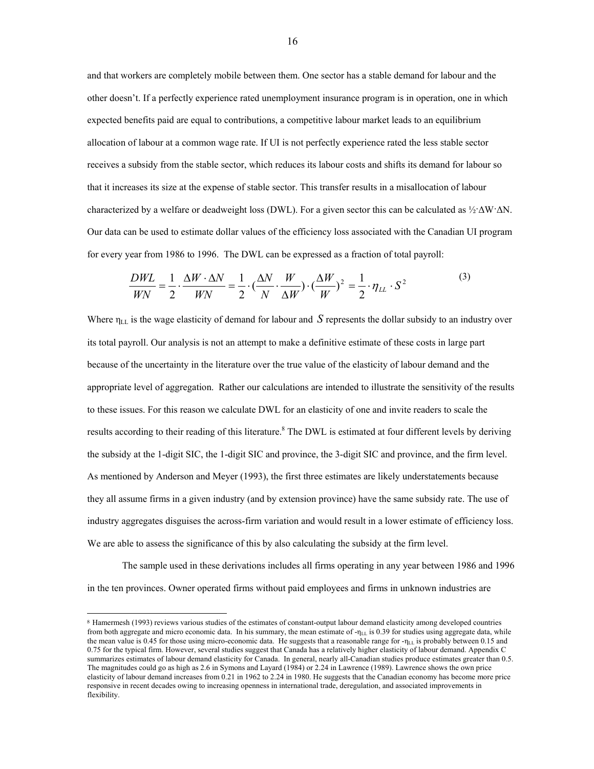and that workers are completely mobile between them. One sector has a stable demand for labour and the other doesn't. If a perfectly experience rated unemployment insurance program is in operation, one in which expected benefits paid are equal to contributions, a competitive labour market leads to an equilibrium allocation of labour at a common wage rate. If UI is not perfectly experience rated the less stable sector receives a subsidy from the stable sector, which reduces its labour costs and shifts its demand for labour so that it increases its size at the expense of stable sector. This transfer results in a misallocation of labour characterized by a welfare or deadweight loss (DWL). For a given sector this can be calculated as ½·∆W·∆N. Our data can be used to estimate dollar values of the efficiency loss associated with the Canadian UI program for every year from 1986 to 1996. The DWL can be expressed as a fraction of total payroll:

$$
\frac{DWL}{WN} = \frac{1}{2} \cdot \frac{\Delta W \cdot \Delta N}{WN} = \frac{1}{2} \cdot \left(\frac{\Delta N}{N} \cdot \frac{W}{\Delta W}\right) \cdot \left(\frac{\Delta W}{W}\right)^2 = \frac{1}{2} \cdot \eta_{LL} \cdot S^2
$$
\n(3)

Where  $\eta_{LL}$  is the wage elasticity of demand for labour and *S* represents the dollar subsidy to an industry over its total payroll. Our analysis is not an attempt to make a definitive estimate of these costs in large part because of the uncertainty in the literature over the true value of the elasticity of labour demand and the appropriate level of aggregation. Rather our calculations are intended to illustrate the sensitivity of the results to these issues. For this reason we calculate DWL for an elasticity of one and invite readers to scale the results according to their reading of this literature.<sup>8</sup> The DWL is estimated at four different levels by deriving the subsidy at the 1-digit SIC, the 1-digit SIC and province, the 3-digit SIC and province, and the firm level. As mentioned by Anderson and Meyer (1993), the first three estimates are likely understatements because they all assume firms in a given industry (and by extension province) have the same subsidy rate. The use of industry aggregates disguises the across-firm variation and would result in a lower estimate of efficiency loss. We are able to assess the significance of this by also calculating the subsidy at the firm level.

 The sample used in these derivations includes all firms operating in any year between 1986 and 1996 in the ten provinces. Owner operated firms without paid employees and firms in unknown industries are

 $\overline{\phantom{a}}$ 

<sup>8</sup> Hamermesh (1993) reviews various studies of the estimates of constant-output labour demand elasticity among developed countries from both aggregate and micro economic data. In his summary, the mean estimate of -η<sub>LL</sub> is 0.39 for studies using aggregate data, while the mean value is 0.45 for those using micro-economic data. He suggests that a reasonable range for  $-\eta_{LL}$  is probably between 0.15 and 0.75 for the typical firm. However, several studies suggest that Canada has a relatively higher elasticity of labour demand. Appendix C summarizes estimates of labour demand elasticity for Canada. In general, nearly all-Canadian studies produce estimates greater than 0.5. The magnitudes could go as high as 2.6 in Symons and Layard (1984) or 2.24 in Lawrence (1989). Lawrence shows the own price elasticity of labour demand increases from 0.21 in 1962 to 2.24 in 1980. He suggests that the Canadian economy has become more price responsive in recent decades owing to increasing openness in international trade, deregulation, and associated improvements in flexibility.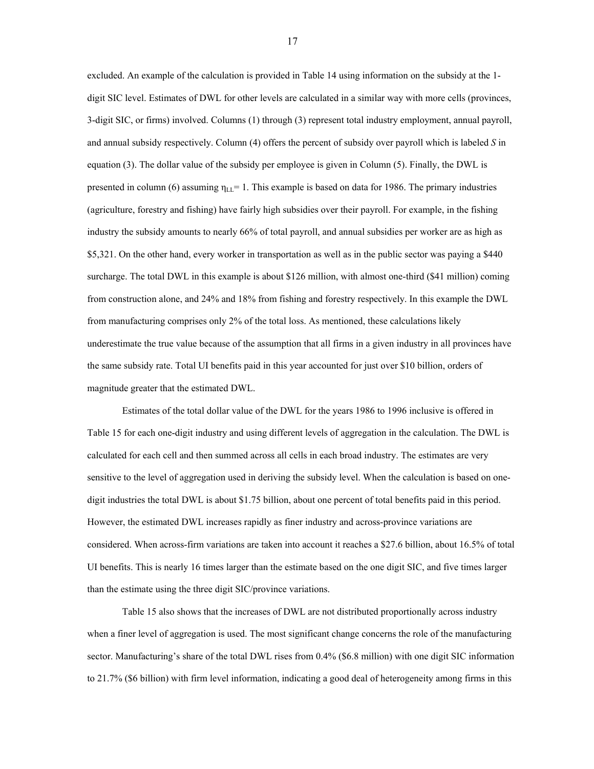excluded. An example of the calculation is provided in Table 14 using information on the subsidy at the 1 digit SIC level. Estimates of DWL for other levels are calculated in a similar way with more cells (provinces, 3-digit SIC, or firms) involved. Columns (1) through (3) represent total industry employment, annual payroll, and annual subsidy respectively. Column (4) offers the percent of subsidy over payroll which is labeled *S* in equation (3). The dollar value of the subsidy per employee is given in Column (5). Finally, the DWL is presented in column (6) assuming  $\eta_{LL}$ = 1. This example is based on data for 1986. The primary industries (agriculture, forestry and fishing) have fairly high subsidies over their payroll. For example, in the fishing industry the subsidy amounts to nearly 66% of total payroll, and annual subsidies per worker are as high as \$5,321. On the other hand, every worker in transportation as well as in the public sector was paying a \$440 surcharge. The total DWL in this example is about \$126 million, with almost one-third (\$41 million) coming from construction alone, and 24% and 18% from fishing and forestry respectively. In this example the DWL from manufacturing comprises only 2% of the total loss. As mentioned, these calculations likely underestimate the true value because of the assumption that all firms in a given industry in all provinces have the same subsidy rate. Total UI benefits paid in this year accounted for just over \$10 billion, orders of magnitude greater that the estimated DWL.

 Estimates of the total dollar value of the DWL for the years 1986 to 1996 inclusive is offered in Table 15 for each one-digit industry and using different levels of aggregation in the calculation. The DWL is calculated for each cell and then summed across all cells in each broad industry. The estimates are very sensitive to the level of aggregation used in deriving the subsidy level. When the calculation is based on onedigit industries the total DWL is about \$1.75 billion, about one percent of total benefits paid in this period. However, the estimated DWL increases rapidly as finer industry and across-province variations are considered. When across-firm variations are taken into account it reaches a \$27.6 billion, about 16.5% of total UI benefits. This is nearly 16 times larger than the estimate based on the one digit SIC, and five times larger than the estimate using the three digit SIC/province variations.

 Table 15 also shows that the increases of DWL are not distributed proportionally across industry when a finer level of aggregation is used. The most significant change concerns the role of the manufacturing sector. Manufacturing's share of the total DWL rises from 0.4% (\$6.8 million) with one digit SIC information to 21.7% (\$6 billion) with firm level information, indicating a good deal of heterogeneity among firms in this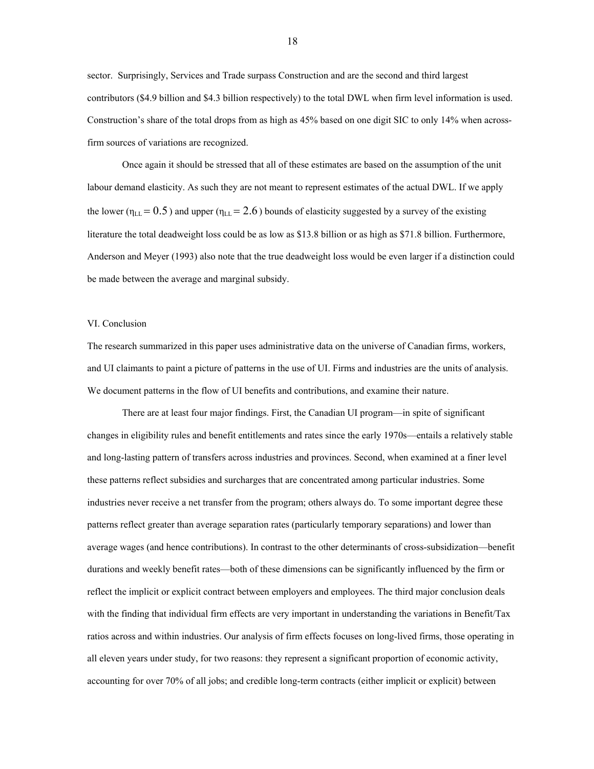sector. Surprisingly, Services and Trade surpass Construction and are the second and third largest contributors (\$4.9 billion and \$4.3 billion respectively) to the total DWL when firm level information is used. Construction's share of the total drops from as high as 45% based on one digit SIC to only 14% when acrossfirm sources of variations are recognized.

Once again it should be stressed that all of these estimates are based on the assumption of the unit labour demand elasticity. As such they are not meant to represent estimates of the actual DWL. If we apply the lower ( $\eta_{LL} = 0.5$ ) and upper ( $\eta_{LL} = 2.6$ ) bounds of elasticity suggested by a survey of the existing literature the total deadweight loss could be as low as \$13.8 billion or as high as \$71.8 billion. Furthermore, Anderson and Meyer (1993) also note that the true deadweight loss would be even larger if a distinction could be made between the average and marginal subsidy.

#### VI. Conclusion

The research summarized in this paper uses administrative data on the universe of Canadian firms, workers, and UI claimants to paint a picture of patterns in the use of UI. Firms and industries are the units of analysis. We document patterns in the flow of UI benefits and contributions, and examine their nature.

There are at least four major findings. First, the Canadian UI program—in spite of significant changes in eligibility rules and benefit entitlements and rates since the early 1970s—entails a relatively stable and long-lasting pattern of transfers across industries and provinces. Second, when examined at a finer level these patterns reflect subsidies and surcharges that are concentrated among particular industries. Some industries never receive a net transfer from the program; others always do. To some important degree these patterns reflect greater than average separation rates (particularly temporary separations) and lower than average wages (and hence contributions). In contrast to the other determinants of cross-subsidization—benefit durations and weekly benefit rates—both of these dimensions can be significantly influenced by the firm or reflect the implicit or explicit contract between employers and employees. The third major conclusion deals with the finding that individual firm effects are very important in understanding the variations in Benefit/Tax ratios across and within industries. Our analysis of firm effects focuses on long-lived firms, those operating in all eleven years under study, for two reasons: they represent a significant proportion of economic activity, accounting for over 70% of all jobs; and credible long-term contracts (either implicit or explicit) between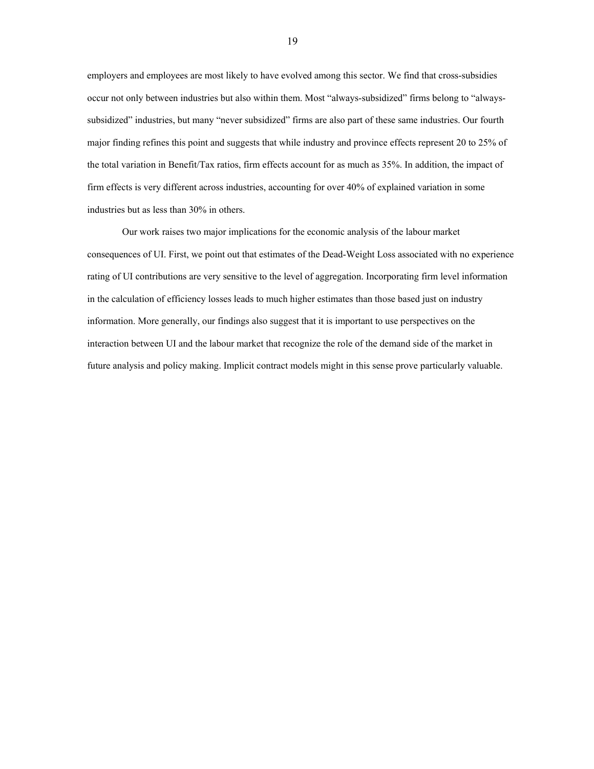employers and employees are most likely to have evolved among this sector. We find that cross-subsidies occur not only between industries but also within them. Most "always-subsidized" firms belong to "alwayssubsidized" industries, but many "never subsidized" firms are also part of these same industries. Our fourth major finding refines this point and suggests that while industry and province effects represent 20 to 25% of the total variation in Benefit/Tax ratios, firm effects account for as much as 35%. In addition, the impact of firm effects is very different across industries, accounting for over 40% of explained variation in some industries but as less than 30% in others.

Our work raises two major implications for the economic analysis of the labour market consequences of UI. First, we point out that estimates of the Dead-Weight Loss associated with no experience rating of UI contributions are very sensitive to the level of aggregation. Incorporating firm level information in the calculation of efficiency losses leads to much higher estimates than those based just on industry information. More generally, our findings also suggest that it is important to use perspectives on the interaction between UI and the labour market that recognize the role of the demand side of the market in future analysis and policy making. Implicit contract models might in this sense prove particularly valuable.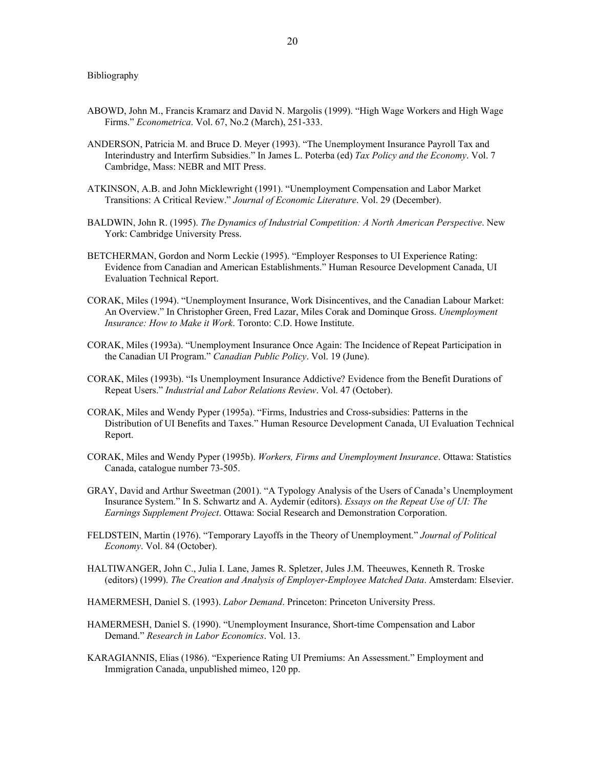- ABOWD, John M., Francis Kramarz and David N. Margolis (1999). "High Wage Workers and High Wage Firms." *Econometrica*. Vol. 67, No.2 (March), 251-333.
- ANDERSON, Patricia M. and Bruce D. Meyer (1993). "The Unemployment Insurance Payroll Tax and Interindustry and Interfirm Subsidies." In James L. Poterba (ed) *Tax Policy and the Economy*. Vol. 7 Cambridge, Mass: NEBR and MIT Press.
- ATKINSON, A.B. and John Micklewright (1991). "Unemployment Compensation and Labor Market Transitions: A Critical Review." *Journal of Economic Literature*. Vol. 29 (December).
- BALDWIN, John R. (1995). *The Dynamics of Industrial Competition: A North American Perspective*. New York: Cambridge University Press.
- BETCHERMAN, Gordon and Norm Leckie (1995). "Employer Responses to UI Experience Rating: Evidence from Canadian and American Establishments." Human Resource Development Canada, UI Evaluation Technical Report.
- CORAK, Miles (1994). "Unemployment Insurance, Work Disincentives, and the Canadian Labour Market: An Overview." In Christopher Green, Fred Lazar, Miles Corak and Dominque Gross. *Unemployment Insurance: How to Make it Work*. Toronto: C.D. Howe Institute.
- CORAK, Miles (1993a). "Unemployment Insurance Once Again: The Incidence of Repeat Participation in the Canadian UI Program." *Canadian Public Policy*. Vol. 19 (June).
- CORAK, Miles (1993b). "Is Unemployment Insurance Addictive? Evidence from the Benefit Durations of Repeat Users." *Industrial and Labor Relations Review*. Vol. 47 (October).
- CORAK, Miles and Wendy Pyper (1995a). "Firms, Industries and Cross-subsidies: Patterns in the Distribution of UI Benefits and Taxes." Human Resource Development Canada, UI Evaluation Technical Report.
- CORAK, Miles and Wendy Pyper (1995b). *Workers, Firms and Unemployment Insurance*. Ottawa: Statistics Canada, catalogue number 73-505.
- GRAY, David and Arthur Sweetman (2001). "A Typology Analysis of the Users of Canada's Unemployment Insurance System." In S. Schwartz and A. Aydemir (editors). *Essays on the Repeat Use of UI: The Earnings Supplement Project*. Ottawa: Social Research and Demonstration Corporation.
- FELDSTEIN, Martin (1976). "Temporary Layoffs in the Theory of Unemployment." *Journal of Political Economy*. Vol. 84 (October).
- HALTIWANGER, John C., Julia I. Lane, James R. Spletzer, Jules J.M. Theeuwes, Kenneth R. Troske (editors) (1999). *The Creation and Analysis of Employer-Employee Matched Data*. Amsterdam: Elsevier.
- HAMERMESH, Daniel S. (1993). *Labor Demand*. Princeton: Princeton University Press.
- HAMERMESH, Daniel S. (1990). "Unemployment Insurance, Short-time Compensation and Labor Demand." *Research in Labor Economics*. Vol. 13.
- KARAGIANNIS, Elias (1986). "Experience Rating UI Premiums: An Assessment." Employment and Immigration Canada, unpublished mimeo, 120 pp.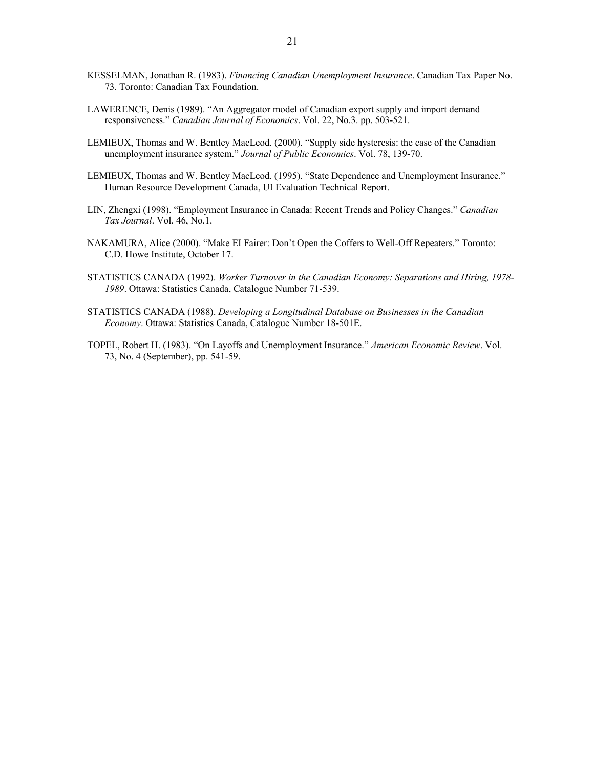- KESSELMAN, Jonathan R. (1983). *Financing Canadian Unemployment Insurance*. Canadian Tax Paper No. 73. Toronto: Canadian Tax Foundation.
- LAWERENCE, Denis (1989). "An Aggregator model of Canadian export supply and import demand responsiveness." *Canadian Journal of Economics*. Vol. 22, No.3. pp. 503-521.
- LEMIEUX, Thomas and W. Bentley MacLeod. (2000). "Supply side hysteresis: the case of the Canadian unemployment insurance system." *Journal of Public Economics*. Vol. 78, 139-70.
- LEMIEUX, Thomas and W. Bentley MacLeod. (1995). "State Dependence and Unemployment Insurance." Human Resource Development Canada, UI Evaluation Technical Report.
- LIN, Zhengxi (1998). "Employment Insurance in Canada: Recent Trends and Policy Changes." *Canadian Tax Journal*. Vol. 46, No.1.
- NAKAMURA, Alice (2000). "Make EI Fairer: Don't Open the Coffers to Well-Off Repeaters." Toronto: C.D. Howe Institute, October 17.
- STATISTICS CANADA (1992). *Worker Turnover in the Canadian Economy: Separations and Hiring, 1978- 1989*. Ottawa: Statistics Canada, Catalogue Number 71-539.
- STATISTICS CANADA (1988). *Developing a Longitudinal Database on Businesses in the Canadian Economy*. Ottawa: Statistics Canada, Catalogue Number 18-501E.
- TOPEL, Robert H. (1983). "On Layoffs and Unemployment Insurance." *American Economic Review*. Vol. 73, No. 4 (September), pp. 541-59.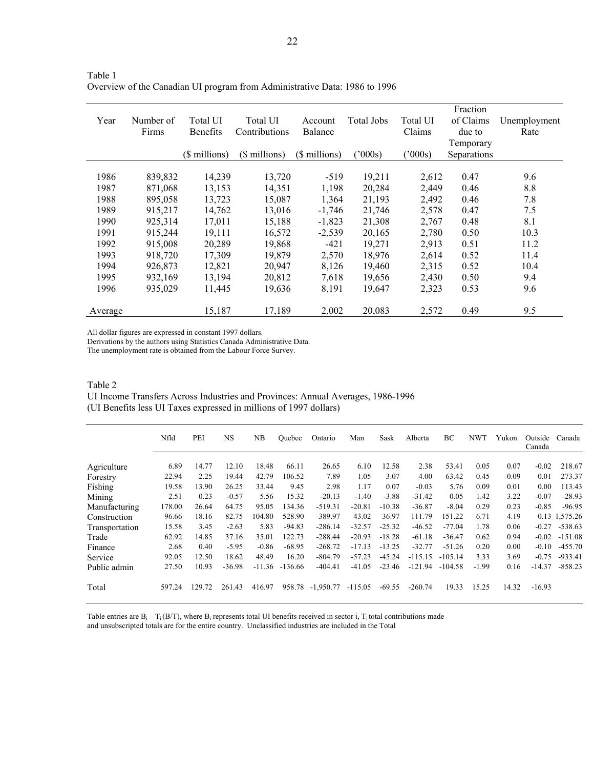| Year    | Number of<br>Firms | Total UI<br><b>Benefits</b> | Total UI<br>Contributions | Account<br>Balance | Total Jobs | Total UI<br>Claims | Fraction<br>of Claims<br>due to | Unemployment<br>Rate |
|---------|--------------------|-----------------------------|---------------------------|--------------------|------------|--------------------|---------------------------------|----------------------|
|         |                    |                             |                           |                    |            |                    | Temporary                       |                      |
|         |                    | (\$ millions)               | (\$ millions)             | (\$ millions)      | (2000s)    | ('000s)            | Separations                     |                      |
|         |                    |                             |                           |                    |            |                    |                                 |                      |
| 1986    | 839,832            | 14,239                      | 13,720                    | $-519$             | 19,211     | 2,612              | 0.47                            | 9.6                  |
| 1987    | 871,068            | 13,153                      | 14,351                    | 1,198              | 20,284     | 2,449              | 0.46                            | 8.8                  |
| 1988    | 895,058            | 13,723                      | 15,087                    | 1,364              | 21,193     | 2,492              | 0.46                            | 7.8                  |
| 1989    | 915,217            | 14,762                      | 13,016                    | $-1,746$           | 21,746     | 2,578              | 0.47                            | 7.5                  |
| 1990    | 925,314            | 17,011                      | 15,188                    | $-1,823$           | 21,308     | 2,767              | 0.48                            | 8.1                  |
| 1991    | 915,244            | 19,111                      | 16,572                    | $-2,539$           | 20,165     | 2,780              | 0.50                            | 10.3                 |
| 1992    | 915,008            | 20,289                      | 19,868                    | $-421$             | 19,271     | 2,913              | 0.51                            | 11.2                 |
| 1993    | 918,720            | 17,309                      | 19,879                    | 2,570              | 18,976     | 2,614              | 0.52                            | 11.4                 |
| 1994    | 926,873            | 12,821                      | 20,947                    | 8,126              | 19,460     | 2,315              | 0.52                            | 10.4                 |
| 1995    | 932,169            | 13,194                      | 20,812                    | 7,618              | 19,656     | 2,430              | 0.50                            | 9.4                  |
| 1996    | 935,029            | 11,445                      | 19,636                    | 8,191              | 19,647     | 2,323              | 0.53                            | 9.6                  |
| Average |                    | 15,187                      | 17,189                    | 2,002              | 20,083     | 2,572              | 0.49                            | 9.5                  |

Table 1 Overview of the Canadian UI program from Administrative Data: 1986 to 1996

All dollar figures are expressed in constant 1997 dollars.

Derivations by the authors using Statistics Canada Administrative Data.

The unemployment rate is obtained from the Labour Force Survey.

Table 2 UI Income Transfers Across Industries and Provinces: Annual Averages, 1986-1996 (UI Benefits less UI Taxes expressed in millions of 1997 dollars)

|                | Nfld   | PEI    | <b>NS</b> | NB       | Quebec    | Ontario     | Man       | Sask     | Alberta   | BC        | <b>NWT</b> | Yukon | Outside<br>Canada | Canada        |
|----------------|--------|--------|-----------|----------|-----------|-------------|-----------|----------|-----------|-----------|------------|-------|-------------------|---------------|
|                |        | 14.77  | 12.10     |          |           |             |           |          |           |           |            |       |                   |               |
| Agriculture    | 6.89   |        |           | 18.48    | 66.11     | 26.65       | 6.10      | 12.58    | 2.38      | 53.41     | 0.05       | 0.07  | $-0.02$           | 218.67        |
| Forestry       | 22.94  | 2.25   | 19.44     | 42.79    | 106.52    | 7.89        | 1.05      | 3.07     | 4.00      | 63.42     | 0.45       | 0.09  | 0.01              | 273.37        |
| Fishing        | 19.58  | 13.90  | 26.25     | 33.44    | 9.45      | 2.98        | 1.17      | 0.07     | $-0.03$   | 5.76      | 0.09       | 0.01  | 0.00              | 113.43        |
| Mining         | 2.51   | 0.23   | $-0.57$   | 5.56     | 15.32     | $-20.13$    | $-1.40$   | $-3.88$  | $-31.42$  | 0.05      | 1.42       | 3.22  | $-0.07$           | $-28.93$      |
| Manufacturing  | 178.00 | 26.64  | 64.75     | 95.05    | 134.36    | $-519.31$   | $-20.81$  | $-10.38$ | $-36.87$  | $-8.04$   | 0.29       | 0.23  | $-0.85$           | $-96.95$      |
| Construction   | 96.66  | 18.16  | 82.75     | 104.80   | 528.90    | 389.97      | 43.02     | 36.97    | 111.79    | 151.22    | 6.71       | 4.19  |                   | 0.13 1,575.26 |
| Transportation | 15.58  | 3.45   | $-2.63$   | 5.83     | $-94.83$  | $-286.14$   | $-32.57$  | $-25.32$ | $-46.52$  | $-77.04$  | 1.78       | 0.06  | $-0.27$           | $-538.63$     |
| Trade          | 62.92  | 14.85  | 37.16     | 35.01    | 122.73    | $-288.44$   | $-20.93$  | $-18.28$ | $-61.18$  | $-36.47$  | 0.62       | 0.94  | $-0.02$           | $-151.08$     |
| Finance        | 2.68   | 0.40   | $-5.95$   | $-0.86$  | $-68.95$  | $-268.72$   | $-17.13$  | $-13.25$ | $-32.77$  | $-51.26$  | 0.20       | 0.00  | $-0.10$           | $-455.70$     |
| Service        | 92.05  | 12.50  | 18.62     | 48.49    | 16.20     | $-804.79$   | $-57.23$  | $-45.24$ | $-115.15$ | $-105.14$ | 3.33       | 3.69  | $-0.75$           | $-933.41$     |
| Public admin   | 27.50  | 10.93  | $-36.98$  | $-11.36$ | $-136.66$ | $-404.41$   | $-41.05$  | $-23.46$ | $-121.94$ | $-104.58$ | $-1.99$    | 0.16  | $-14.37$          | $-858.23$     |
| Total          | 597.24 | 129.72 | 261.43    | 416.97   | 958.78    | $-1,950.77$ | $-115.05$ | $-69.55$ | $-260.74$ | 19.33     | 15.25      | 14.32 | $-16.93$          |               |

Table entries are  $B_i - T_i (B/T)$ , where  $B_i$  represents total UI benefits received in sector i,  $T_i$  total contributions made and unsubscripted totals are for the entire country. Unclassified industries are included in the Total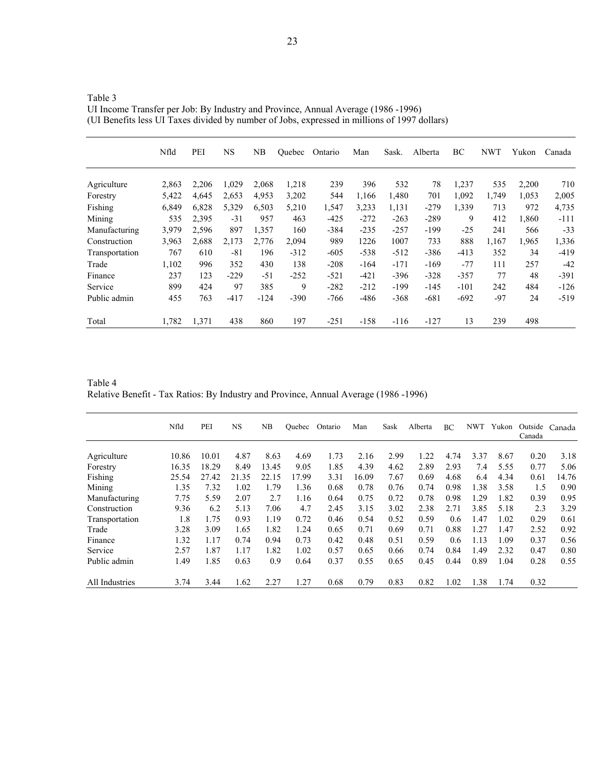|                | Nfld  | PEI   | <b>NS</b> | NB     | Ouebec | Ontario | Man    | Sask.  | Alberta | BC     | <b>NWT</b> | Yukon | Canada |
|----------------|-------|-------|-----------|--------|--------|---------|--------|--------|---------|--------|------------|-------|--------|
| Agriculture    | 2,863 | 2,206 | 1,029     | 2,068  | 1,218  | 239     | 396    | 532    | 78      | 1,237  | 535        | 2,200 | 710    |
| Forestry       | 5,422 | 4.645 | 2,653     | 4,953  | 3,202  | 544     | 1,166  | 1,480  | 701     | 1,092  | 1,749      | 1,053 | 2,005  |
| Fishing        | 6,849 | 6,828 | 5,329     | 6,503  | 5,210  | 1,547   | 3,233  | 1,131  | $-279$  | 1,339  | 713        | 972   | 4,735  |
| Mining         | 535   | 2,395 | $-31$     | 957    | 463    | $-425$  | $-272$ | $-263$ | $-289$  | 9      | 412        | 1,860 | $-111$ |
| Manufacturing  | 3,979 | 2.596 | 897       | 1,357  | 160    | $-384$  | $-235$ | $-257$ | $-199$  | $-25$  | 241        | 566   | $-33$  |
| Construction   | 3,963 | 2,688 | 2,173     | 2,776  | 2,094  | 989     | 1226   | 1007   | 733     | 888    | 1,167      | 1,965 | 1,336  |
| Transportation | 767   | 610   | $-81$     | 196    | $-312$ | $-605$  | $-538$ | $-512$ | $-386$  | $-413$ | 352        | 34    | $-419$ |
| Trade          | 1,102 | 996   | 352       | 430    | 138    | $-208$  | $-164$ | $-171$ | $-169$  | $-77$  | 111        | 257   | $-42$  |
| Finance        | 237   | 123   | $-229$    | $-51$  | $-252$ | $-521$  | $-421$ | $-396$ | $-328$  | $-357$ | 77         | 48    | $-391$ |
| Service        | 899   | 424   | 97        | 385    | 9      | $-282$  | $-212$ | $-199$ | $-145$  | $-101$ | 242        | 484   | $-126$ |
| Public admin   | 455   | 763   | $-417$    | $-124$ | $-390$ | $-766$  | $-486$ | $-368$ | $-681$  | $-692$ | $-97$      | 24    | $-519$ |
| Total          | 1,782 | 1,371 | 438       | 860    | 197    | $-251$  | $-158$ | $-116$ | $-127$  | 13     | 239        | 498   |        |

Table 3 UI Income Transfer per Job: By Industry and Province, Annual Average (1986 -1996) (UI Benefits less UI Taxes divided by number of Jobs, expressed in millions of 1997 dollars)

Table 4 Relative Benefit - Tax Ratios: By Industry and Province, Annual Average (1986 -1996)

|                | Nfld  | PEI   | <b>NS</b> | NB    | Ouebec | Ontario | Man   | Sask | Alberta | BC.  | NWT  | Yukon | Canada | Outside Canada |
|----------------|-------|-------|-----------|-------|--------|---------|-------|------|---------|------|------|-------|--------|----------------|
|                |       |       |           |       |        |         |       |      |         |      |      |       |        |                |
| Agriculture    | 10.86 | 10.01 | 4.87      | 8.63  | 4.69   | 1.73    | 2.16  | 2.99 | 1.22    | 4.74 | 3.37 | 8.67  | 0.20   | 3.18           |
| Forestry       | 16.35 | 18.29 | 8.49      | 13.45 | 9.05   | 1.85    | 4.39  | 4.62 | 2.89    | 2.93 | 7.4  | 5.55  | 0.77   | 5.06           |
| Fishing        | 25.54 | 27.42 | 21.35     | 22.15 | 17.99  | 3.31    | 16.09 | 7.67 | 0.69    | 4.68 | 6.4  | 4.34  | 0.61   | 14.76          |
| Mining         | 1.35  | 7.32  | 1.02      | 1.79  | 1.36   | 0.68    | 0.78  | 0.76 | 0.74    | 0.98 | 1.38 | 3.58  | 1.5    | 0.90           |
| Manufacturing  | 7.75  | 5.59  | 2.07      | 2.7   | 1.16   | 0.64    | 0.75  | 0.72 | 0.78    | 0.98 | 1.29 | 1.82  | 0.39   | 0.95           |
| Construction   | 9.36  | 6.2   | 5.13      | 7.06  | 4.7    | 2.45    | 3.15  | 3.02 | 2.38    | 2.71 | 3.85 | 5.18  | 2.3    | 3.29           |
| Transportation | 1.8   | 1.75  | 0.93      | 1.19  | 0.72   | 0.46    | 0.54  | 0.52 | 0.59    | 0.6  | 1.47 | 1.02  | 0.29   | 0.61           |
| Trade          | 3.28  | 3.09  | 1.65      | 1.82  | 1.24   | 0.65    | 0.71  | 0.69 | 0.71    | 0.88 | 1.27 | 1.47  | 2.52   | 0.92           |
| Finance        | 1.32  | 1.17  | 0.74      | 0.94  | 0.73   | 0.42    | 0.48  | 0.51 | 0.59    | 0.6  | 1.13 | 1.09  | 0.37   | 0.56           |
| Service        | 2.57  | 1.87  | 1.17      | 1.82  | 1.02   | 0.57    | 0.65  | 0.66 | 0.74    | 0.84 | 1.49 | 2.32  | 0.47   | 0.80           |
| Public admin   | 1.49  | 1.85  | 0.63      | 0.9   | 0.64   | 0.37    | 0.55  | 0.65 | 0.45    | 0.44 | 0.89 | 1.04  | 0.28   | 0.55           |
| All Industries | 3.74  | 3.44  | 1.62      | 2.27  | 1.27   | 0.68    | 0.79  | 0.83 | 0.82    | 1.02 | 1.38 | 1.74  | 0.32   |                |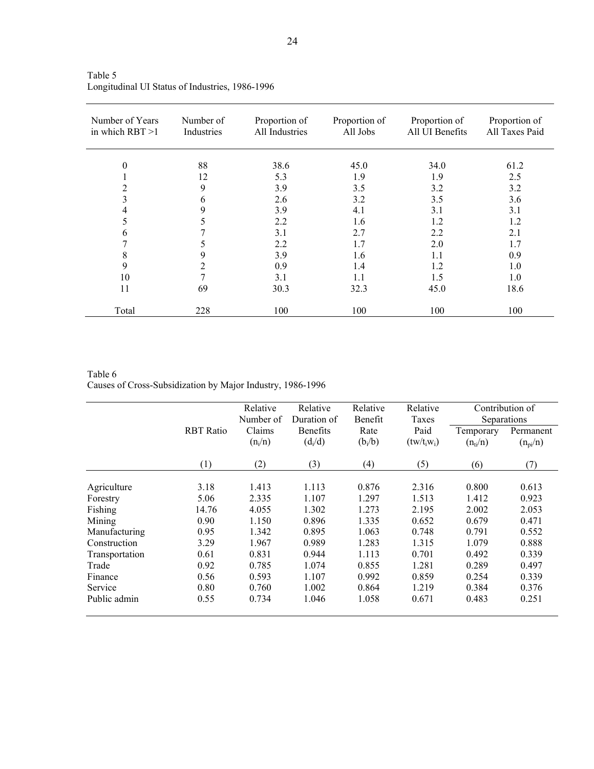| Number of Years<br>in which $RBT > 1$ | Number of<br>Industries | Proportion of<br>All Industries | Proportion of<br>All Jobs | Proportion of<br>All UI Benefits | Proportion of<br>All Taxes Paid |
|---------------------------------------|-------------------------|---------------------------------|---------------------------|----------------------------------|---------------------------------|
| $\theta$                              | 88                      | 38.6                            | 45.0                      | 34.0                             | 61.2                            |
|                                       | 12                      | 5.3                             | 1.9                       | 1.9                              | 2.5                             |
| 2                                     | 9                       | 3.9                             | 3.5                       | 3.2                              | 3.2                             |
| 3                                     | 6                       | 2.6                             | 3.2                       | 3.5                              | 3.6                             |
| 4                                     | 9                       | 3.9                             | 4.1                       | 3.1                              | 3.1                             |
| 5                                     | 5                       | 2.2                             | 1.6                       | 1.2                              | 1.2                             |
| 6                                     | 7                       | 3.1                             | 2.7                       | 2.2                              | 2.1                             |
| 7                                     | 5                       | 2.2                             | 1.7                       | 2.0                              | 1.7                             |
| 8                                     | 9                       | 3.9                             | 1.6                       | 1.1                              | 0.9                             |
| 9                                     | 2                       | 0.9                             | 1.4                       | 1.2                              | 1.0                             |
| 10                                    | 7                       | 3.1                             | 1.1                       | 1.5                              | 1.0                             |
| 11                                    | 69                      | 30.3                            | 32.3                      | 45.0                             | 18.6                            |
| Total                                 | 228                     | 100                             | 100                       | 100                              | 100                             |

Table 5 Longitudinal UI Status of Industries, 1986-1996

Table 6 Causes of Cross-Subsidization by Major Industry, 1986-1996

|                |                  | Relative<br>Number of | Relative<br>Duration of      | Relative<br>Benefit | Relative<br>Taxes     |                           | Contribution of<br>Separations |
|----------------|------------------|-----------------------|------------------------------|---------------------|-----------------------|---------------------------|--------------------------------|
|                | <b>RBT</b> Ratio | Claims<br>$(n_i/n)$   | <b>Benefits</b><br>$(d_i/d)$ | Rate<br>$(b_i/b)$   | Paid<br>$(tw/t_iw_i)$ | Temporary<br>$(n_{ti}/n)$ | Permanent<br>$(n_{pi}/n)$      |
|                | (1)              | (2)                   | (3)                          | (4)                 | (5)                   | (6)                       | (7)                            |
| Agriculture    | 3.18             | 1.413                 | 1.113                        | 0.876               | 2.316                 | 0.800                     | 0.613                          |
| Forestry       | 5.06             | 2.335                 | 1.107                        | 1.297               | 1.513                 | 1.412                     | 0.923                          |
| Fishing        | 14.76            | 4.055                 | 1.302                        | 1.273               | 2.195                 | 2.002                     | 2.053                          |
| Mining         | 0.90             | 1.150                 | 0.896                        | 1.335               | 0.652                 | 0.679                     | 0.471                          |
| Manufacturing  | 0.95             | 1.342                 | 0.895                        | 1.063               | 0.748                 | 0.791                     | 0.552                          |
| Construction   | 3.29             | 1.967                 | 0.989                        | 1.283               | 1.315                 | 1.079                     | 0.888                          |
| Transportation | 0.61             | 0.831                 | 0.944                        | 1.113               | 0.701                 | 0.492                     | 0.339                          |
| Trade          | 0.92             | 0.785                 | 1.074                        | 0.855               | 1.281                 | 0.289                     | 0.497                          |
| Finance        | 0.56             | 0.593                 | 1.107                        | 0.992               | 0.859                 | 0.254                     | 0.339                          |
| Service        | 0.80             | 0.760                 | 1.002                        | 0.864               | 1.219                 | 0.384                     | 0.376                          |
| Public admin   | 0.55             | 0.734                 | 1.046                        | 1.058               | 0.671                 | 0.483                     | 0.251                          |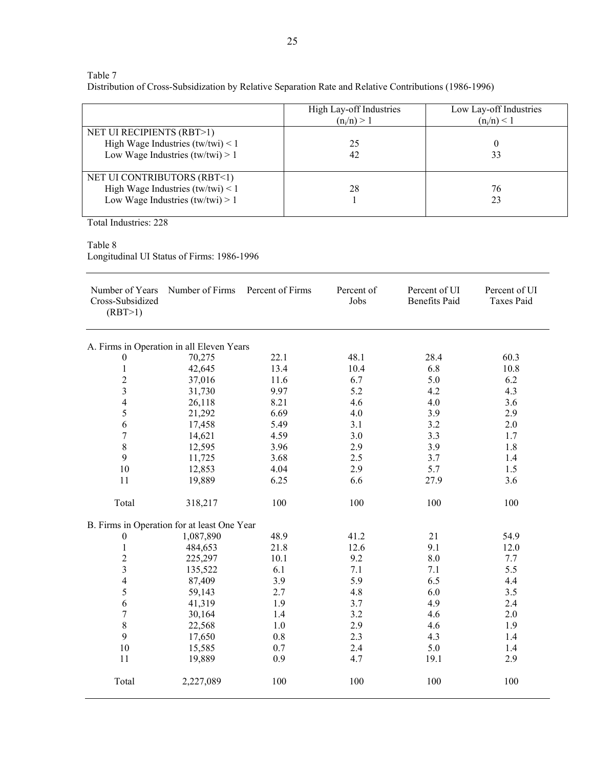### Table 7

Distribution of Cross-Subsidization by Relative Separation Rate and Relative Contributions (1986-1996)

|                                     | High Lay-off Industries<br>$(n_i/n) > 1$ | Low Lay-off Industries<br>$(n_i/n) < 1$ |
|-------------------------------------|------------------------------------------|-----------------------------------------|
| NET UI RECIPIENTS (RBT>1)           |                                          |                                         |
| High Wage Industries $(tw/twi) < 1$ | 25                                       |                                         |
| Low Wage Industries $(tw/twi) > 1$  | 42                                       | 33                                      |
| NET UI CONTRIBUTORS (RBT<1)         |                                          |                                         |
| High Wage Industries $(tw/twi) < 1$ | 28                                       | 76                                      |
| Low Wage Industries $(tw/twi) > 1$  |                                          | 23                                      |

Total Industries: 228

Table 8

Longitudinal UI Status of Firms: 1986-1996

| Number of Years<br>Cross-Subsidized<br>(RBT>1) | Number of Firms                             | Percent of Firms | Percent of<br>Jobs | Percent of UI<br><b>Benefits Paid</b> | Percent of UI<br>Taxes Paid |
|------------------------------------------------|---------------------------------------------|------------------|--------------------|---------------------------------------|-----------------------------|
|                                                | A. Firms in Operation in all Eleven Years   |                  |                    |                                       |                             |
| $\boldsymbol{0}$                               | 70,275                                      | 22.1             | 48.1               | 28.4                                  | 60.3                        |
| $\,1$                                          | 42,645                                      | 13.4             | 10.4               | 6.8                                   | 10.8                        |
| $\overline{c}$                                 | 37,016                                      | 11.6             | 6.7                | 5.0                                   | 6.2                         |
| $\overline{3}$                                 | 31,730                                      | 9.97             | 5.2                | 4.2                                   | 4.3                         |
| $\overline{4}$                                 | 26,118                                      | 8.21             | 4.6                | 4.0                                   | 3.6                         |
| 5                                              | 21,292                                      | 6.69             | 4.0                | 3.9                                   | 2.9                         |
| 6                                              | 17,458                                      | 5.49             | 3.1                | 3.2                                   | 2.0                         |
| $\overline{7}$                                 | 14,621                                      | 4.59             | 3.0                | 3.3                                   | 1.7                         |
| 8                                              | 12,595                                      | 3.96             | 2.9                | 3.9                                   | 1.8                         |
| 9                                              | 11,725                                      | 3.68             | 2.5                | 3.7                                   | 1.4                         |
| 10                                             | 12,853                                      | 4.04             | 2.9                | 5.7                                   | 1.5                         |
| 11                                             | 19,889                                      | 6.25             | 6.6                | 27.9                                  | 3.6                         |
| Total                                          | 318,217                                     | 100              | 100                | 100                                   | 100                         |
|                                                | B. Firms in Operation for at least One Year |                  |                    |                                       |                             |
| $\boldsymbol{0}$                               | 1,087,890                                   | 48.9             | 41.2               | 21                                    | 54.9                        |
| $\,1$                                          | 484,653                                     | 21.8             | 12.6               | 9.1                                   | 12.0                        |
|                                                | 225,297                                     | 10.1             | 9.2                | 8.0                                   | 7.7                         |
| $\frac{2}{3}$                                  | 135,522                                     | 6.1              | 7.1                | 7.1                                   | 5.5                         |
| $\overline{4}$                                 | 87,409                                      | 3.9              | 5.9                | 6.5                                   | 4.4                         |
| 5                                              | 59,143                                      | 2.7              | 4.8                | 6.0                                   | 3.5                         |
| 6                                              | 41,319                                      | 1.9              | 3.7                | 4.9                                   | 2.4                         |
| $\overline{7}$                                 | 30,164                                      | 1.4              | 3.2                | 4.6                                   | 2.0                         |
| 8                                              | 22,568                                      | 1.0              | 2.9                | 4.6                                   | 1.9                         |
| 9                                              | 17,650                                      | 0.8              | 2.3                | 4.3                                   | 1.4                         |
| 10                                             | 15,585                                      | 0.7              | 2.4                | 5.0                                   | 1.4                         |
| 11                                             | 19,889                                      | 0.9              | 4.7                | 19.1                                  | 2.9                         |
| Total                                          | 2,227,089                                   | 100              | 100                | 100                                   | 100                         |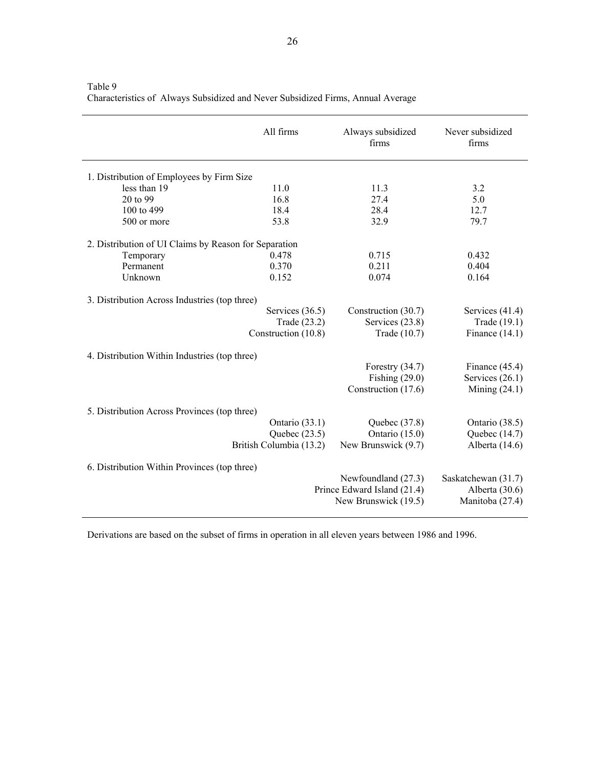|                                                       | All firms               | Always subsidized<br>firms  | Never subsidized<br>firms |
|-------------------------------------------------------|-------------------------|-----------------------------|---------------------------|
| 1. Distribution of Employees by Firm Size             |                         |                             |                           |
| less than 19                                          | 11.0                    | 11.3                        | 3.2                       |
| 20 to 99                                              | 16.8                    | 27.4                        | 5.0                       |
| 100 to 499                                            | 18.4                    | 28.4                        | 12.7                      |
| 500 or more                                           | 53.8                    | 32.9                        | 79.7                      |
| 2. Distribution of UI Claims by Reason for Separation |                         |                             |                           |
| Temporary                                             | 0.478                   | 0.715                       | 0.432                     |
| Permanent                                             | 0.370                   | 0.211                       | 0.404                     |
| Unknown                                               | 0.152                   | 0.074                       | 0.164                     |
| 3. Distribution Across Industries (top three)         |                         |                             |                           |
|                                                       | Services (36.5)         | Construction (30.7)         | Services $(41.4)$         |
|                                                       | Trade (23.2)            | Services (23.8)             | Trade (19.1)              |
|                                                       | Construction (10.8)     | Trade (10.7)                | Finance $(14.1)$          |
| 4. Distribution Within Industries (top three)         |                         |                             |                           |
|                                                       |                         | Forestry $(34.7)$           | Finance $(45.4)$          |
|                                                       |                         | Fishing $(29.0)$            | Services (26.1)           |
|                                                       |                         | Construction (17.6)         | Mining $(24.1)$           |
| 5. Distribution Across Provinces (top three)          |                         |                             |                           |
|                                                       | Ontario (33.1)          | Quebec $(37.8)$             | Ontario (38.5)            |
|                                                       | Quebec $(23.5)$         | Ontario (15.0)              | Quebec (14.7)             |
|                                                       | British Columbia (13.2) | New Brunswick (9.7)         | Alberta (14.6)            |
| 6. Distribution Within Provinces (top three)          |                         |                             |                           |
|                                                       |                         | Newfoundland (27.3)         | Saskatchewan (31.7)       |
|                                                       |                         | Prince Edward Island (21.4) | Alberta (30.6)            |
|                                                       |                         | New Brunswick (19.5)        | Manitoba (27.4)           |
|                                                       |                         |                             |                           |

Table 9 Characteristics of Always Subsidized and Never Subsidized Firms, Annual Average

Derivations are based on the subset of firms in operation in all eleven years between 1986 and 1996.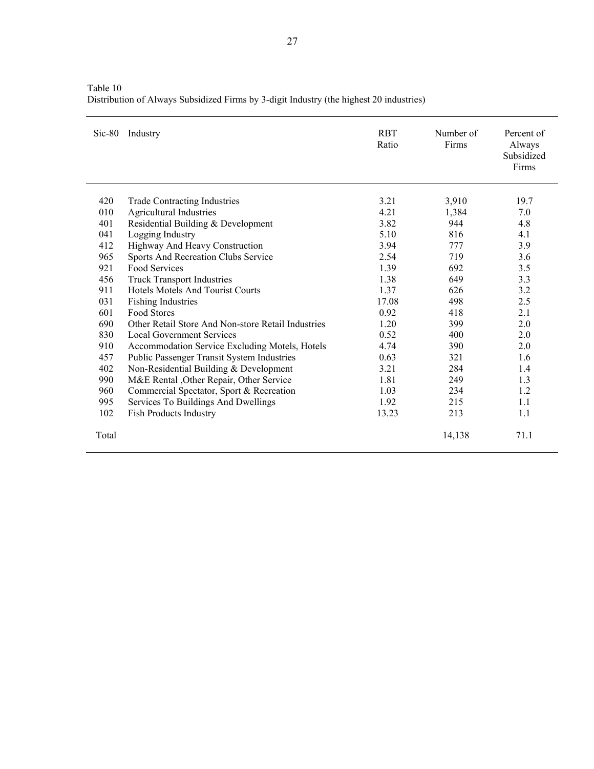| Table 10                                                                                |
|-----------------------------------------------------------------------------------------|
| Distribution of Always Subsidized Firms by 3-digit Industry (the highest 20 industries) |

| $Sic-80$ | Industry                                           | <b>RBT</b><br>Ratio | Number of<br>Firms | Percent of<br>Always<br>Subsidized<br>Firms |
|----------|----------------------------------------------------|---------------------|--------------------|---------------------------------------------|
| 420      | <b>Trade Contracting Industries</b>                | 3.21                | 3,910              | 19.7                                        |
| 010      | Agricultural Industries                            | 4.21                | 1,384              | 7.0                                         |
| 401      | Residential Building & Development                 | 3.82                | 944                | 4.8                                         |
| 041      | Logging Industry                                   | 5.10                | 816                | 4.1                                         |
| 412      | Highway And Heavy Construction                     | 3.94                | 777                | 3.9                                         |
| 965      | Sports And Recreation Clubs Service                | 2.54                | 719                | 3.6                                         |
| 921      | Food Services                                      | 1.39                | 692                | 3.5                                         |
| 456      | <b>Truck Transport Industries</b>                  | 1.38                | 649                | 3.3                                         |
| 911      | <b>Hotels Motels And Tourist Courts</b>            | 1.37                | 626                | 3.2                                         |
| 031      | <b>Fishing Industries</b>                          | 17.08               | 498                | 2.5                                         |
| 601      | Food Stores                                        | 0.92                | 418                | 2.1                                         |
| 690      | Other Retail Store And Non-store Retail Industries | 1.20                | 399                | 2.0                                         |
| 830      | <b>Local Government Services</b>                   | 0.52                | 400                | 2.0                                         |
| 910      | Accommodation Service Excluding Motels, Hotels     | 4.74                | 390                | 2.0                                         |
| 457      | Public Passenger Transit System Industries         | 0.63                | 321                | 1.6                                         |
| 402      | Non-Residential Building & Development             | 3.21                | 284                | 1.4                                         |
| 990      | M&E Rental , Other Repair, Other Service           | 1.81                | 249                | 1.3                                         |
| 960      | Commercial Spectator, Sport & Recreation           | 1.03                | 234                | 1.2                                         |
| 995      | Services To Buildings And Dwellings                | 1.92                | 215                | 1.1                                         |
| 102      | <b>Fish Products Industry</b>                      | 13.23               | 213                | 1.1                                         |
| Total    |                                                    |                     | 14,138             | 71.1                                        |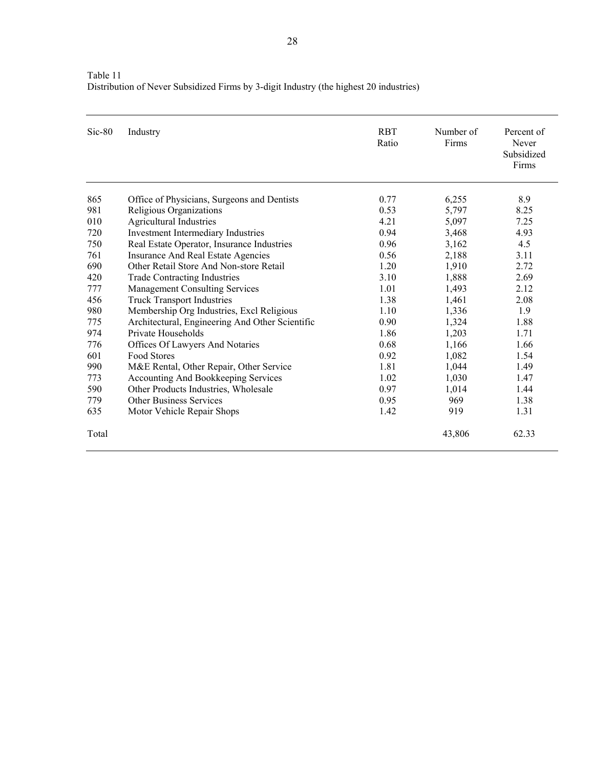| Table 11                                                                               |
|----------------------------------------------------------------------------------------|
| Distribution of Never Subsidized Firms by 3-digit Industry (the highest 20 industries) |

| $Sic-80$ | Industry                                        | <b>RBT</b><br>Ratio | Number of<br>Firms | Percent of<br>Never<br>Subsidized<br>Firms |
|----------|-------------------------------------------------|---------------------|--------------------|--------------------------------------------|
| 865      | Office of Physicians, Surgeons and Dentists     | 0.77                | 6,255              | 8.9                                        |
| 981      | Religious Organizations                         | 0.53                | 5,797              | 8.25                                       |
| 010      | <b>Agricultural Industries</b>                  | 4.21                | 5,097              | 7.25                                       |
| 720      | <b>Investment Intermediary Industries</b>       | 0.94                | 3,468              | 4.93                                       |
| 750      | Real Estate Operator, Insurance Industries      | 0.96                | 3,162              | 4.5                                        |
| 761      | <b>Insurance And Real Estate Agencies</b>       | 0.56                | 2,188              | 3.11                                       |
| 690      | Other Retail Store And Non-store Retail         | 1.20                | 1,910              | 2.72                                       |
| 420      | <b>Trade Contracting Industries</b>             | 3.10                | 1,888              | 2.69                                       |
| 777      | <b>Management Consulting Services</b>           | 1.01                | 1,493              | 2.12                                       |
| 456      | <b>Truck Transport Industries</b>               | 1.38                | 1,461              | 2.08                                       |
| 980      | Membership Org Industries, Excl Religious       | 1.10                | 1,336              | 1.9                                        |
| 775      | Architectural, Engineering And Other Scientific | 0.90                | 1,324              | 1.88                                       |
| 974      | Private Households                              | 1.86                | 1,203              | 1.71                                       |
| 776      | Offices Of Lawyers And Notaries                 | 0.68                | 1,166              | 1.66                                       |
| 601      | Food Stores                                     | 0.92                | 1,082              | 1.54                                       |
| 990      | M&E Rental, Other Repair, Other Service         | 1.81                | 1,044              | 1.49                                       |
| 773      | Accounting And Bookkeeping Services             | 1.02                | 1,030              | 1.47                                       |
| 590      | Other Products Industries, Wholesale            | 0.97                | 1,014              | 1.44                                       |
| 779      | <b>Other Business Services</b>                  | 0.95                | 969                | 1.38                                       |
| 635      | Motor Vehicle Repair Shops                      | 1.42                | 919                | 1.31                                       |
| Total    |                                                 |                     | 43,806             | 62.33                                      |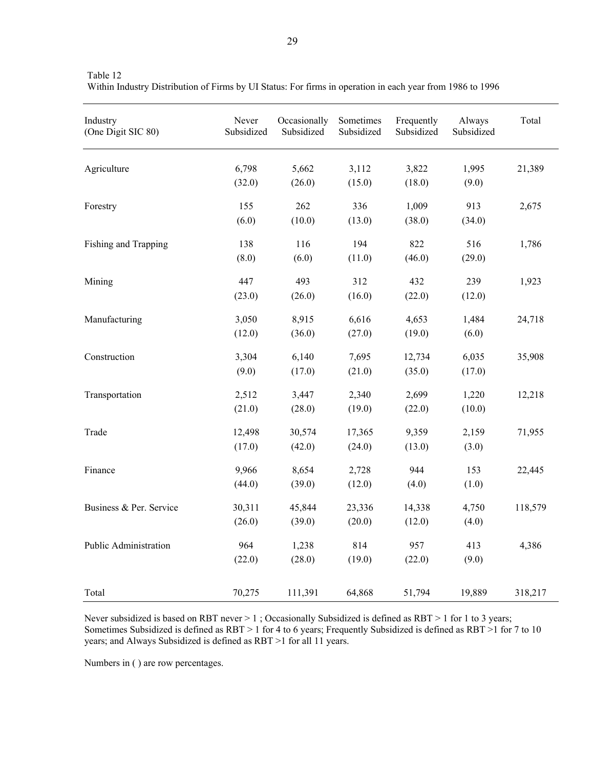| Industry<br>(One Digit SIC 80) | Never<br>Subsidized | Occasionally<br>Subsidized | Sometimes<br>Subsidized | Frequently<br>Subsidized | Always<br>Subsidized | Total   |
|--------------------------------|---------------------|----------------------------|-------------------------|--------------------------|----------------------|---------|
| Agriculture                    | 6,798               | 5,662                      | 3,112                   | 3,822                    | 1,995                | 21,389  |
|                                | (32.0)              | (26.0)                     | (15.0)                  | (18.0)                   | (9.0)                |         |
| Forestry                       | 155                 | 262                        | 336                     | 1,009                    | 913                  | 2,675   |
|                                | (6.0)               | (10.0)                     | (13.0)                  | (38.0)                   | (34.0)               |         |
| Fishing and Trapping           | 138                 | 116                        | 194                     | 822                      | 516                  | 1,786   |
|                                | (8.0)               | (6.0)                      | (11.0)                  | (46.0)                   | (29.0)               |         |
| Mining                         | 447                 | 493                        | 312                     | 432                      | 239                  | 1,923   |
|                                | (23.0)              | (26.0)                     | (16.0)                  | (22.0)                   | (12.0)               |         |
| Manufacturing                  | 3,050               | 8,915                      | 6,616                   | 4,653                    | 1,484                | 24,718  |
|                                | (12.0)              | (36.0)                     | (27.0)                  | (19.0)                   | (6.0)                |         |
| Construction                   | 3,304               | 6,140                      | 7,695                   | 12,734                   | 6,035                | 35,908  |
|                                | (9.0)               | (17.0)                     | (21.0)                  | (35.0)                   | (17.0)               |         |
| Transportation                 | 2,512               | 3,447                      | 2,340                   | 2,699                    | 1,220                | 12,218  |
|                                | (21.0)              | (28.0)                     | (19.0)                  | (22.0)                   | (10.0)               |         |
| Trade                          | 12,498              | 30,574                     | 17,365                  | 9,359                    | 2,159                | 71,955  |
|                                | (17.0)              | (42.0)                     | (24.0)                  | (13.0)                   | (3.0)                |         |
| Finance                        | 9,966               | 8,654                      | 2,728                   | 944                      | 153                  | 22,445  |
|                                | (44.0)              | (39.0)                     | (12.0)                  | (4.0)                    | (1.0)                |         |
| Business & Per. Service        | 30,311              | 45,844                     | 23,336                  | 14,338                   | 4,750                | 118,579 |
|                                | (26.0)              | (39.0)                     | (20.0)                  | (12.0)                   | (4.0)                |         |
| Public Administration          | 964                 | 1,238                      | 814                     | 957                      | 413                  | 4,386   |
|                                | (22.0)              | (28.0)                     | (19.0)                  | (22.0)                   | (9.0)                |         |
| Total                          | 70,275              | 111,391                    | 64,868                  | 51,794                   | 19,889               | 318,217 |

Table 12 Within Industry Distribution of Firms by UI Status: For firms in operation in each year from 1986 to 1996

Never subsidized is based on RBT never > 1 ; Occasionally Subsidized is defined as RBT > 1 for 1 to 3 years; Sometimes Subsidized is defined as RBT > 1 for 4 to 6 years; Frequently Subsidized is defined as RBT >1 for 7 to 10 years; and Always Subsidized is defined as RBT >1 for all 11 years.

Numbers in ( ) are row percentages.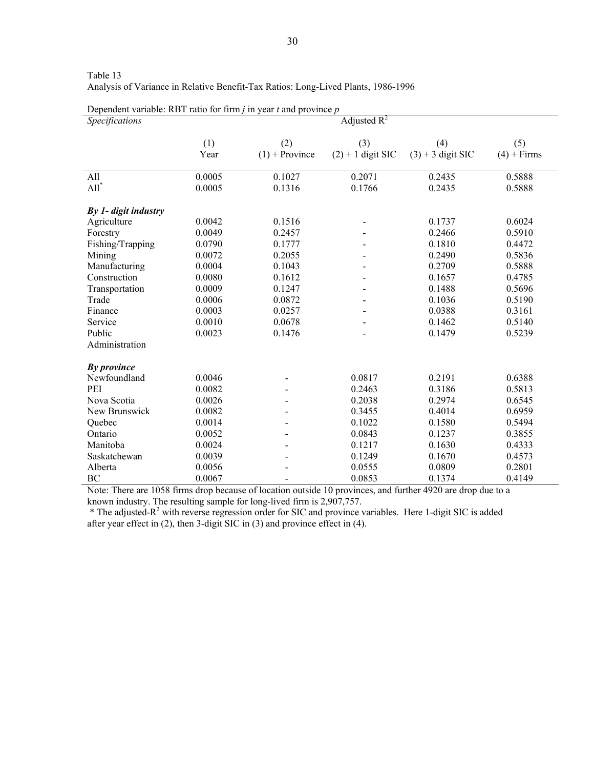| Table 13                                                                          |  |
|-----------------------------------------------------------------------------------|--|
| Analysis of Variance in Relative Benefit-Tax Ratios: Long-Lived Plants, 1986-1996 |  |

| Dependent variable: RB I ratio for firm f in year t and province $p$ |        |                  |                          |                     |               |
|----------------------------------------------------------------------|--------|------------------|--------------------------|---------------------|---------------|
| Specifications                                                       |        |                  | Adjusted $R^2$           |                     |               |
|                                                                      | (1)    | (2)              | (3)                      | (4)                 | (5)           |
|                                                                      | Year   | $(1)$ + Province | $(2) + 1$ digit SIC      | $(3) + 3$ digit SIC | $(4)$ + Firms |
|                                                                      |        |                  |                          |                     |               |
| All                                                                  | 0.0005 | 0.1027           | 0.2071                   | 0.2435              | 0.5888        |
| $All^*$                                                              | 0.0005 | 0.1316           | 0.1766                   | 0.2435              | 0.5888        |
|                                                                      |        |                  |                          |                     |               |
| By 1- digit industry                                                 |        |                  |                          |                     |               |
| Agriculture                                                          | 0.0042 | 0.1516           |                          | 0.1737              | 0.6024        |
| Forestry                                                             | 0.0049 | 0.2457           |                          | 0.2466              | 0.5910        |
| Fishing/Trapping                                                     | 0.0790 | 0.1777           |                          | 0.1810              | 0.4472        |
| Mining                                                               | 0.0072 | 0.2055           | $\overline{\phantom{0}}$ | 0.2490              | 0.5836        |
| Manufacturing                                                        | 0.0004 | 0.1043           |                          | 0.2709              | 0.5888        |
| Construction                                                         | 0.0080 | 0.1612           |                          | 0.1657              | 0.4785        |
| Transportation                                                       | 0.0009 | 0.1247           |                          | 0.1488              | 0.5696        |
| Trade                                                                | 0.0006 | 0.0872           | $\overline{\phantom{0}}$ | 0.1036              | 0.5190        |
| Finance                                                              | 0.0003 | 0.0257           |                          | 0.0388              | 0.3161        |
| Service                                                              | 0.0010 | 0.0678           |                          | 0.1462              | 0.5140        |
| Public                                                               | 0.0023 | 0.1476           |                          | 0.1479              | 0.5239        |
| Administration                                                       |        |                  |                          |                     |               |
|                                                                      |        |                  |                          |                     |               |
| By province                                                          |        |                  |                          |                     |               |
| Newfoundland                                                         | 0.0046 |                  | 0.0817                   | 0.2191              | 0.6388        |
| PEI                                                                  | 0.0082 |                  | 0.2463                   | 0.3186              | 0.5813        |
| Nova Scotia                                                          | 0.0026 |                  | 0.2038                   | 0.2974              | 0.6545        |
| New Brunswick                                                        | 0.0082 |                  | 0.3455                   | 0.4014              | 0.6959        |
| Quebec                                                               | 0.0014 |                  | 0.1022                   | 0.1580              | 0.5494        |
| Ontario                                                              | 0.0052 | $\overline{a}$   | 0.0843                   | 0.1237              | 0.3855        |
| Manitoba                                                             | 0.0024 |                  | 0.1217                   | 0.1630              | 0.4333        |
| Saskatchewan                                                         | 0.0039 |                  | 0.1249                   | 0.1670              | 0.4573        |
| Alberta                                                              | 0.0056 |                  | 0.0555                   | 0.0809              | 0.2801        |
| <b>BC</b>                                                            | 0.0067 |                  | 0.0853                   | 0.1374              | 0.4149        |

Dependent variable: *DDT* ratio for firm *j* in year *t* and

Note: There are 1058 firms drop because of location outside 10 provinces, and further 4920 are drop due to a known industry. The resulting sample for long-lived firm is 2,907,757.

 \* The adjusted-R2 with reverse regression order for SIC and province variables. Here 1-digit SIC is added after year effect in (2), then 3-digit SIC in (3) and province effect in (4).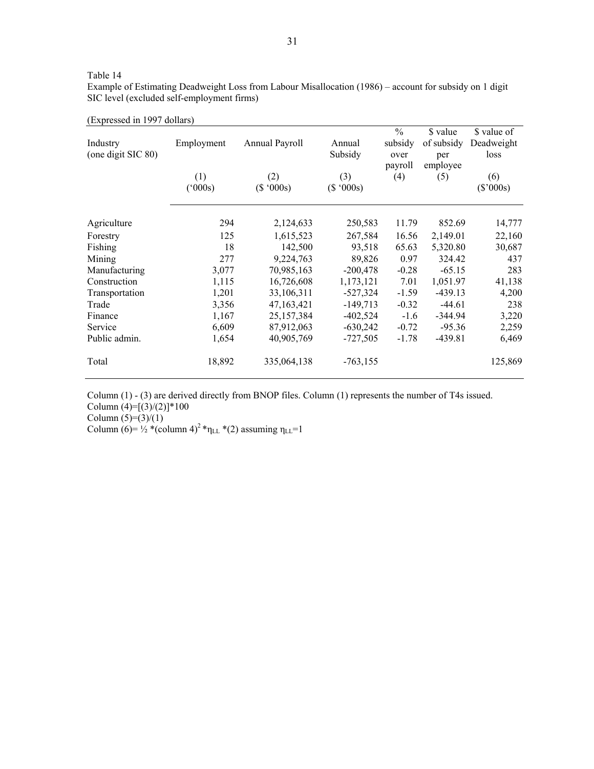Table 14

Example of Estimating Deadweight Loss from Labour Misallocation (1986) – account for subsidy on 1 digit SIC level (excluded self-employment firms)

| (Expressed in 1997 dollars) |  |  |
|-----------------------------|--|--|
|-----------------------------|--|--|

|                    |            |                |            | $\frac{0}{0}$ | \$ value   | \$ value of |
|--------------------|------------|----------------|------------|---------------|------------|-------------|
| Industry           | Employment | Annual Payroll | Annual     | subsidy       | of subsidy | Deadweight  |
| (one digit SIC 80) |            |                | Subsidy    | over          | per        | loss        |
|                    |            |                |            | payroll       | employee   |             |
|                    | (1)        | (2)            | (3)        | (4)           | (5)        | (6)         |
|                    | (000s)     | (\$ '000s)     | (\$ '000s) |               |            | $(\$'000s)$ |
| Agriculture        | 294        | 2,124,633      | 250,583    | 11.79         | 852.69     | 14,777      |
| Forestry           | 125        | 1,615,523      | 267,584    | 16.56         | 2,149.01   | 22,160      |
| Fishing            | 18         | 142,500        | 93,518     | 65.63         | 5,320.80   | 30,687      |
| Mining             | 277        | 9,224,763      | 89,826     | 0.97          | 324.42     | 437         |
| Manufacturing      | 3,077      | 70,985,163     | $-200,478$ | $-0.28$       | $-65.15$   | 283         |
| Construction       | 1,115      | 16,726,608     | 1,173,121  | 7.01          | 1,051.97   | 41,138      |
| Transportation     | 1,201      | 33,106,311     | $-527,324$ | $-1.59$       | $-439.13$  | 4,200       |
| Trade              | 3.356      | 47, 163, 421   | $-149,713$ | $-0.32$       | $-44.61$   | 238         |
| Finance            | 1,167      | 25,157,384     | $-402,524$ | $-1.6$        | $-344.94$  | 3,220       |
| Service            | 6,609      | 87,912,063     | $-630,242$ | $-0.72$       | $-95.36$   | 2,259       |
| Public admin.      | 1,654      | 40,905,769     | $-727,505$ | $-1.78$       | -439.81    | 6,469       |
| Total              | 18,892     | 335,064,138    | $-763,155$ |               |            | 125,869     |

Column (1) - (3) are derived directly from BNOP files. Column (1) represents the number of T4s issued.

Column  $(4)=[(3)/(2)]*100$ 

Column  $(5)=(3)/(1)$ 

Column (6)=  $\frac{1}{2}$  \*(column 4)<sup>2</sup> \* $\eta_{LL}$  \*(2) assuming  $\eta_{LL}$ =1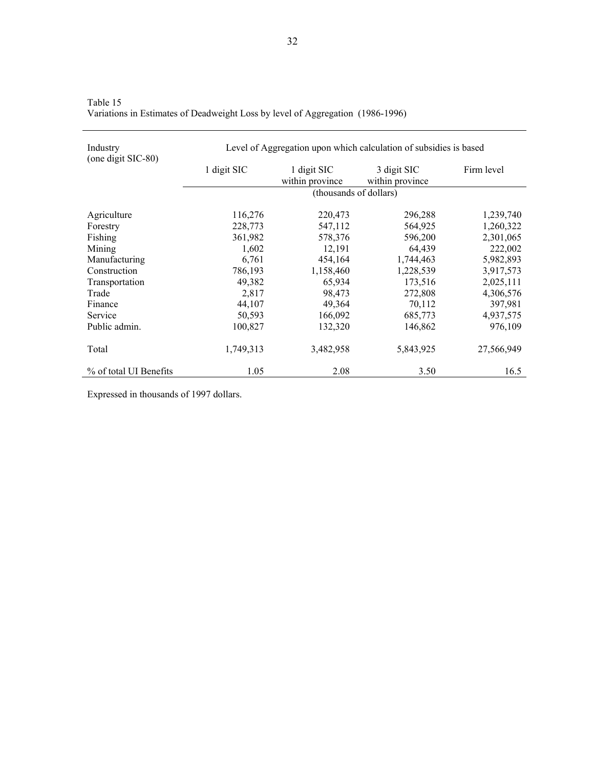| Industry<br>(one digit SIC-80) | Level of Aggregation upon which calculation of subsidies is based |                                |                                |            |  |  |  |
|--------------------------------|-------------------------------------------------------------------|--------------------------------|--------------------------------|------------|--|--|--|
|                                | 1 digit SIC                                                       | 1 digit SIC<br>within province | 3 digit SIC<br>within province | Firm level |  |  |  |
|                                | (thousands of dollars)                                            |                                |                                |            |  |  |  |
| Agriculture                    | 116,276                                                           | 220,473                        | 296,288                        | 1,239,740  |  |  |  |
| Forestry                       | 228,773                                                           | 547,112                        | 564,925                        | 1,260,322  |  |  |  |
| Fishing                        | 361,982                                                           | 578,376                        | 596,200                        | 2,301,065  |  |  |  |
| Mining                         | 1,602                                                             | 12,191                         | 64,439                         | 222,002    |  |  |  |
| Manufacturing                  | 6,761                                                             | 454,164                        | 1,744,463                      | 5,982,893  |  |  |  |
| Construction                   | 786,193                                                           | 1,158,460                      | 1,228,539                      | 3,917,573  |  |  |  |
| Transportation                 | 49,382                                                            | 65,934                         | 173,516                        | 2,025,111  |  |  |  |
| Trade                          | 2,817                                                             | 98,473                         | 272,808                        | 4,306,576  |  |  |  |
| Finance                        | 44,107                                                            | 49,364                         | 70,112                         | 397,981    |  |  |  |
| Service                        | 50,593                                                            | 166,092                        | 685,773                        | 4,937,575  |  |  |  |
| Public admin.                  | 100,827                                                           | 132,320                        | 146,862                        | 976,109    |  |  |  |
| Total                          | 1,749,313                                                         | 3,482,958                      | 5,843,925                      | 27,566,949 |  |  |  |
| % of total UI Benefits         | 1.05                                                              | 2.08                           | 3.50                           | 16.5       |  |  |  |

Table 15 Variations in Estimates of Deadweight Loss by level of Aggregation (1986-1996)

Expressed in thousands of 1997 dollars.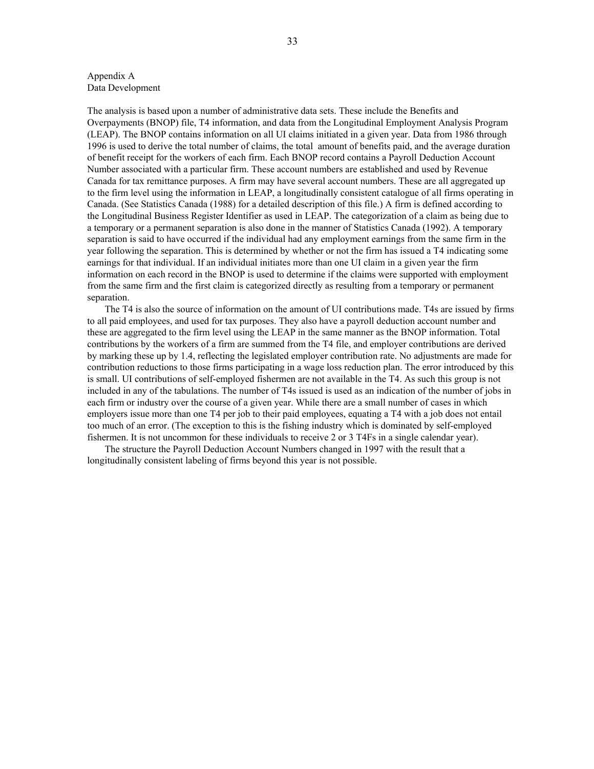#### Appendix A Data Development

The analysis is based upon a number of administrative data sets. These include the Benefits and Overpayments (BNOP) file, T4 information, and data from the Longitudinal Employment Analysis Program (LEAP). The BNOP contains information on all UI claims initiated in a given year. Data from 1986 through 1996 is used to derive the total number of claims, the total amount of benefits paid, and the average duration of benefit receipt for the workers of each firm. Each BNOP record contains a Payroll Deduction Account Number associated with a particular firm. These account numbers are established and used by Revenue Canada for tax remittance purposes. A firm may have several account numbers. These are all aggregated up to the firm level using the information in LEAP, a longitudinally consistent catalogue of all firms operating in Canada. (See Statistics Canada (1988) for a detailed description of this file.) A firm is defined according to the Longitudinal Business Register Identifier as used in LEAP. The categorization of a claim as being due to a temporary or a permanent separation is also done in the manner of Statistics Canada (1992). A temporary separation is said to have occurred if the individual had any employment earnings from the same firm in the year following the separation. This is determined by whether or not the firm has issued a T4 indicating some earnings for that individual. If an individual initiates more than one UI claim in a given year the firm information on each record in the BNOP is used to determine if the claims were supported with employment from the same firm and the first claim is categorized directly as resulting from a temporary or permanent separation.

The T4 is also the source of information on the amount of UI contributions made. T4s are issued by firms to all paid employees, and used for tax purposes. They also have a payroll deduction account number and these are aggregated to the firm level using the LEAP in the same manner as the BNOP information. Total contributions by the workers of a firm are summed from the T4 file, and employer contributions are derived by marking these up by 1.4, reflecting the legislated employer contribution rate. No adjustments are made for contribution reductions to those firms participating in a wage loss reduction plan. The error introduced by this is small. UI contributions of self-employed fishermen are not available in the T4. As such this group is not included in any of the tabulations. The number of T4s issued is used as an indication of the number of jobs in each firm or industry over the course of a given year. While there are a small number of cases in which employers issue more than one T4 per job to their paid employees, equating a T4 with a job does not entail too much of an error. (The exception to this is the fishing industry which is dominated by self-employed fishermen. It is not uncommon for these individuals to receive 2 or 3 T4Fs in a single calendar year).

The structure the Payroll Deduction Account Numbers changed in 1997 with the result that a longitudinally consistent labeling of firms beyond this year is not possible.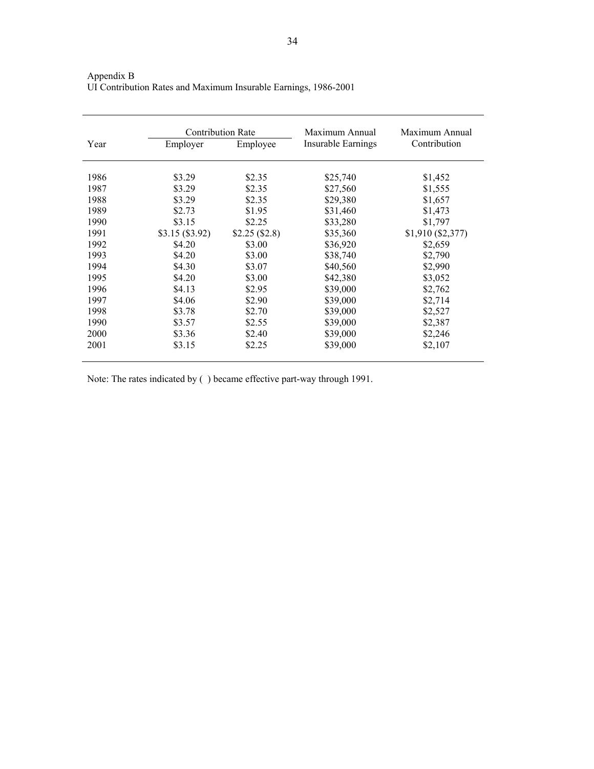Appendix B

| UI Contribution Rates and Maximum Insurable Earnings, 1986-2001 |  |  |  |
|-----------------------------------------------------------------|--|--|--|
|                                                                 |  |  |  |

|      | <b>Contribution Rate</b> |                | Maximum Annual     | Maximum Annual    |
|------|--------------------------|----------------|--------------------|-------------------|
| Year | Employer                 | Employee       | Insurable Earnings | Contribution      |
|      |                          |                |                    |                   |
| 1986 | \$3.29                   | \$2.35         | \$25,740           | \$1,452           |
| 1987 | \$3.29                   | \$2.35         | \$27,560           | \$1,555           |
| 1988 | \$3.29                   | \$2.35         | \$29,380           | \$1,657           |
| 1989 | \$2.73                   | \$1.95         | \$31,460           | \$1,473           |
| 1990 | \$3.15                   | \$2.25         | \$33,280           | \$1,797           |
| 1991 | \$3.15(\$3.92)           | \$2.25 (\$2.8) | \$35,360           | \$1,910 (\$2,377) |
| 1992 | \$4.20                   | \$3.00         | \$36,920           | \$2,659           |
| 1993 | \$4.20                   | \$3.00         | \$38,740           | \$2,790           |
| 1994 | \$4.30                   | \$3.07         | \$40,560           | \$2,990           |
| 1995 | \$4.20                   | \$3.00         | \$42,380           | \$3,052           |
| 1996 | \$4.13                   | \$2.95         | \$39,000           | \$2,762           |
| 1997 | \$4.06                   | \$2.90         | \$39,000           | \$2,714           |
| 1998 | \$3.78                   | \$2.70         | \$39,000           | \$2,527           |
| 1990 | \$3.57                   | \$2.55         | \$39,000           | \$2,387           |
| 2000 | \$3.36                   | \$2.40         | \$39,000           | \$2,246           |
| 2001 | \$3.15                   | \$2.25         | \$39,000           | \$2,107           |
|      |                          |                |                    |                   |

Note: The rates indicated by ( ) became effective part-way through 1991.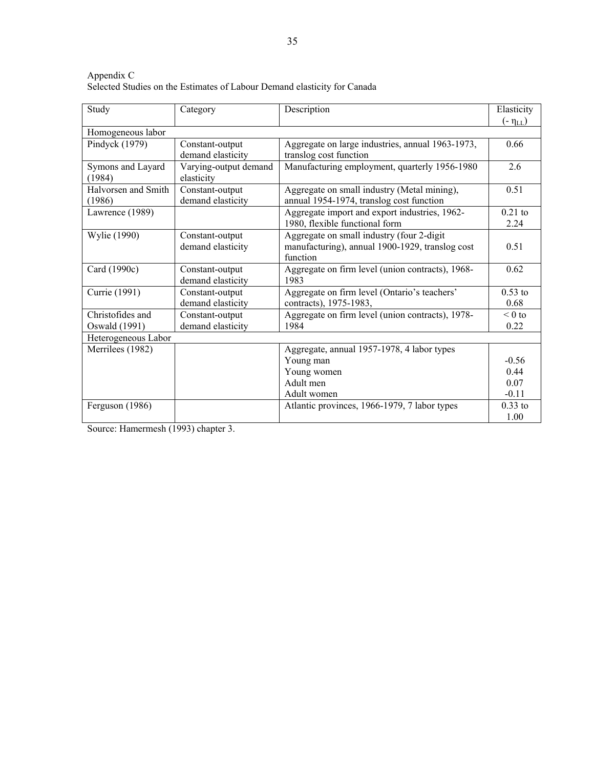| Study               | Category              | Description                                      | Elasticity     |
|---------------------|-----------------------|--------------------------------------------------|----------------|
|                     |                       |                                                  | $(-\eta_{LL})$ |
| Homogeneous labor   |                       |                                                  |                |
| Pindyck (1979)      | Constant-output       | Aggregate on large industries, annual 1963-1973, | 0.66           |
|                     | demand elasticity     | translog cost function                           |                |
| Symons and Layard   | Varying-output demand | Manufacturing employment, quarterly 1956-1980    | 2.6            |
| (1984)              | elasticity            |                                                  |                |
| Halvorsen and Smith | Constant-output       | Aggregate on small industry (Metal mining),      | 0.51           |
| (1986)              | demand elasticity     | annual 1954-1974, translog cost function         |                |
| Lawrence (1989)     |                       | Aggregate import and export industries, 1962-    | $0.21$ to      |
|                     |                       | 1980, flexible functional form                   | 2.24           |
| Wylie (1990)        | Constant-output       | Aggregate on small industry (four 2-digit        |                |
|                     | demand elasticity     | manufacturing), annual 1900-1929, translog cost  | 0.51           |
|                     |                       | function                                         |                |
| Card (1990c)        | Constant-output       | Aggregate on firm level (union contracts), 1968- | 0.62           |
|                     | demand elasticity     | 1983                                             |                |
| Currie (1991)       | Constant-output       | Aggregate on firm level (Ontario's teachers'     | $0.53$ to      |
|                     | demand elasticity     | contracts), 1975-1983,                           | 0.68           |
| Christofides and    | Constant-output       | Aggregate on firm level (union contracts), 1978- | $< 0$ to       |
| Oswald (1991)       | demand elasticity     | 1984                                             | 0.22           |
| Heterogeneous Labor |                       |                                                  |                |
| Merrilees (1982)    |                       | Aggregate, annual 1957-1978, 4 labor types       |                |
|                     |                       | Young man                                        | $-0.56$        |
|                     |                       | Young women                                      | 0.44           |
|                     |                       | Adult men                                        | 0.07           |
|                     |                       | Adult women                                      | $-0.11$        |
| Ferguson (1986)     |                       | Atlantic provinces, 1966-1979, 7 labor types     | $0.33$ to      |
|                     |                       |                                                  | 1.00           |

Appendix C Selected Studies on the Estimates of Labour Demand elasticity for Canada

Source: Hamermesh (1993) chapter 3.